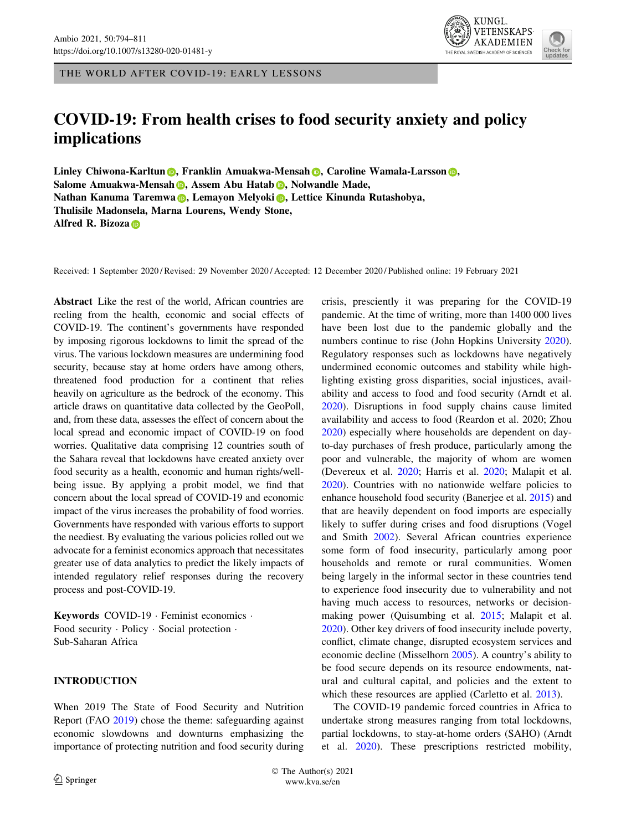THE WORLD AFTER COVID-19: EARLY LESSONS

# COVID-19: From health crises to food security anxiety and policy implications

Li[n](http://orcid.org/0000-0003-4920-9182)ley C[h](http://orcid.org/0000-0002-3581-4704)iwona-Karltun **(b)**, Franklin Amuakwa-Mensah **(b)**, Caroline Wamala-Larsson (b), Salome Amuakwa-Mensa[h](http://orcid.org/0000-0001-9424-7757) **D**, Assem A[b](http://orcid.org/0000-0002-6764-1887)u Hatab D, Nolwandle Made, N[a](http://orcid.org/0000-0003-2157-0865)than Kanuma Taremwa **(b)**, Lemayon Melyok[i](http://orcid.org/0000-0001-6874-8937) **(b)**, Lettice Kinunda Rutashobya, Thulisile Madonsela, Marna Lourens, Wendy Stone, Alfred R. Bizoz[a](http://orcid.org/0000-0002-1180-9169) D

Received: 1 September 2020 / Revised: 29 November 2020 / Accepted: 12 December 2020 / Published online: 19 February 2021

Abstract Like the rest of the world, African countries are reeling from the health, economic and social effects of COVID-19. The continent's governments have responded by imposing rigorous lockdowns to limit the spread of the virus. The various lockdown measures are undermining food security, because stay at home orders have among others, threatened food production for a continent that relies heavily on agriculture as the bedrock of the economy. This article draws on quantitative data collected by the GeoPoll, and, from these data, assesses the effect of concern about the local spread and economic impact of COVID-19 on food worries. Qualitative data comprising 12 countries south of the Sahara reveal that lockdowns have created anxiety over food security as a health, economic and human rights/wellbeing issue. By applying a probit model, we find that concern about the local spread of COVID-19 and economic impact of the virus increases the probability of food worries. Governments have responded with various efforts to support the neediest. By evaluating the various policies rolled out we advocate for a feminist economics approach that necessitates greater use of data analytics to predict the likely impacts of intended regulatory relief responses during the recovery process and post-COVID-19.

Keywords COVID-19 - Feminist economics - Food security · Policy · Social protection · Sub-Saharan Africa

## INTRODUCTION

When 2019 The State of Food Security and Nutrition Report (FAO [2019\)](#page-13-0) chose the theme: safeguarding against economic slowdowns and downturns emphasizing the importance of protecting nutrition and food security during crisis, presciently it was preparing for the COVID-19 pandemic. At the time of writing, more than 1400 000 lives have been lost due to the pandemic globally and the numbers continue to rise (John Hopkins University [2020](#page-14-0)). Regulatory responses such as lockdowns have negatively undermined economic outcomes and stability while highlighting existing gross disparities, social injustices, availability and access to food and food security (Arndt et al. [2020](#page-13-0)). Disruptions in food supply chains cause limited availability and access to food (Reardon et al. 2020; Zhou [2020](#page-16-0)) especially where households are dependent on dayto-day purchases of fresh produce, particularly among the poor and vulnerable, the majority of whom are women (Devereux et al. [2020](#page-13-0); Harris et al. [2020](#page-14-0); Malapit et al. [2020](#page-14-0)). Countries with no nationwide welfare policies to enhance household food security (Banerjee et al. [2015\)](#page-13-0) and that are heavily dependent on food imports are especially likely to suffer during crises and food disruptions (Vogel and Smith [2002\)](#page-16-0). Several African countries experience some form of food insecurity, particularly among poor households and remote or rural communities. Women being largely in the informal sector in these countries tend to experience food insecurity due to vulnerability and not having much access to resources, networks or decisionmaking power (Quisumbing et al. [2015](#page-15-0); Malapit et al. [2020](#page-14-0)). Other key drivers of food insecurity include poverty, conflict, climate change, disrupted ecosystem services and economic decline (Misselhorn [2005\)](#page-14-0). A country's ability to be food secure depends on its resource endowments, natural and cultural capital, and policies and the extent to which these resources are applied (Carletto et al. [2013\)](#page-13-0).

The COVID-19 pandemic forced countries in Africa to undertake strong measures ranging from total lockdowns, partial lockdowns, to stay-at-home orders (SAHO) (Arndt et al. [2020](#page-13-0)). These prescriptions restricted mobility,

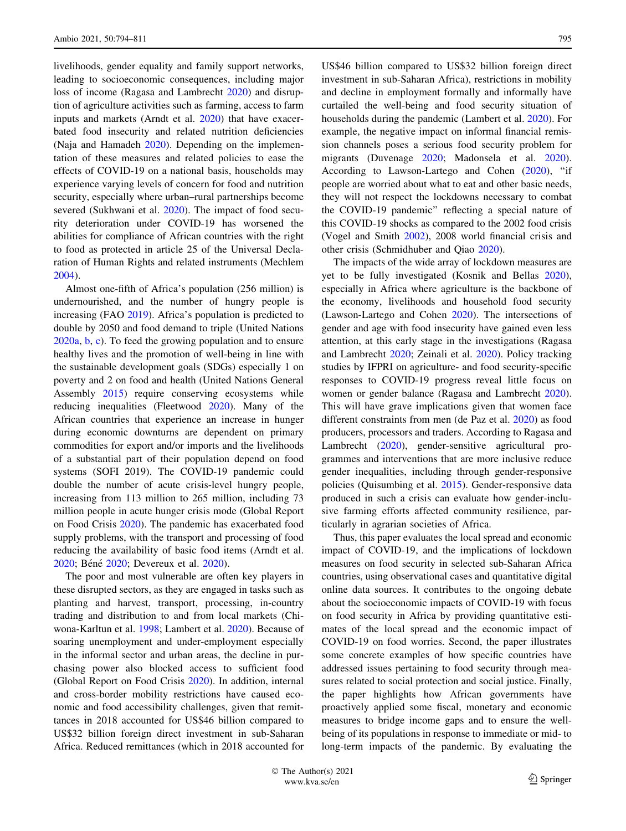livelihoods, gender equality and family support networks, leading to socioeconomic consequences, including major loss of income (Ragasa and Lambrecht [2020\)](#page-15-0) and disruption of agriculture activities such as farming, access to farm inputs and markets (Arndt et al. [2020\)](#page-13-0) that have exacerbated food insecurity and related nutrition deficiencies (Naja and Hamadeh [2020\)](#page-15-0). Depending on the implementation of these measures and related policies to ease the effects of COVID-19 on a national basis, households may experience varying levels of concern for food and nutrition security, especially where urban–rural partnerships become severed (Sukhwani et al. [2020\)](#page-15-0). The impact of food security deterioration under COVID-19 has worsened the abilities for compliance of African countries with the right to food as protected in article 25 of the Universal Declaration of Human Rights and related instruments (Mechlem [2004\)](#page-14-0).

Almost one-fifth of Africa's population (256 million) is undernourished, and the number of hungry people is increasing (FAO [2019](#page-13-0)). Africa's population is predicted to double by 2050 and food demand to triple (United Nations [2020a](#page-16-0), [b,](#page-16-0) [c\)](#page-16-0). To feed the growing population and to ensure healthy lives and the promotion of well-being in line with the sustainable development goals (SDGs) especially 1 on poverty and 2 on food and health (United Nations General Assembly [2015\)](#page-16-0) require conserving ecosystems while reducing inequalities (Fleetwood [2020\)](#page-14-0). Many of the African countries that experience an increase in hunger during economic downturns are dependent on primary commodities for export and/or imports and the livelihoods of a substantial part of their population depend on food systems (SOFI 2019). The COVID-19 pandemic could double the number of acute crisis-level hungry people, increasing from 113 million to 265 million, including 73 million people in acute hunger crisis mode (Global Report on Food Crisis [2020\)](#page-14-0). The pandemic has exacerbated food supply problems, with the transport and processing of food reducing the availability of basic food items (Arndt et al. [2020;](#page-13-0) Béné 2020; Devereux et al. [2020\)](#page-13-0).

The poor and most vulnerable are often key players in these disrupted sectors, as they are engaged in tasks such as planting and harvest, transport, processing, in-country trading and distribution to and from local markets (Chiwona-Karltun et al. [1998;](#page-13-0) Lambert et al. [2020](#page-14-0)). Because of soaring unemployment and under-employment especially in the informal sector and urban areas, the decline in purchasing power also blocked access to sufficient food (Global Report on Food Crisis [2020](#page-14-0)). In addition, internal and cross-border mobility restrictions have caused economic and food accessibility challenges, given that remittances in 2018 accounted for US\$46 billion compared to US\$32 billion foreign direct investment in sub-Saharan Africa. Reduced remittances (which in 2018 accounted for

US\$46 billion compared to US\$32 billion foreign direct investment in sub-Saharan Africa), restrictions in mobility and decline in employment formally and informally have curtailed the well-being and food security situation of households during the pandemic (Lambert et al. [2020\)](#page-14-0). For example, the negative impact on informal financial remission channels poses a serious food security problem for migrants (Duvenage [2020;](#page-13-0) Madonsela et al. [2020](#page-14-0)). According to Lawson-Lartego and Cohen [\(2020\)](#page-14-0), ''if people are worried about what to eat and other basic needs, they will not respect the lockdowns necessary to combat the COVID-19 pandemic'' reflecting a special nature of this COVID-19 shocks as compared to the 2002 food crisis (Vogel and Smith [2002\)](#page-16-0), 2008 world financial crisis and other crisis (Schmidhuber and Qiao [2020\)](#page-15-0).

The impacts of the wide array of lockdown measures are yet to be fully investigated (Kosnik and Bellas [2020](#page-14-0)), especially in Africa where agriculture is the backbone of the economy, livelihoods and household food security (Lawson-Lartego and Cohen [2020\)](#page-14-0). The intersections of gender and age with food insecurity have gained even less attention, at this early stage in the investigations (Ragasa and Lambrecht [2020;](#page-15-0) Zeinali et al. [2020](#page-16-0)). Policy tracking studies by IFPRI on agriculture- and food security-specific responses to COVID-19 progress reveal little focus on women or gender balance (Ragasa and Lambrecht [2020](#page-15-0)). This will have grave implications given that women face different constraints from men (de Paz et al. [2020](#page-13-0)) as food producers, processors and traders. According to Ragasa and Lambrecht [\(2020](#page-15-0)), gender-sensitive agricultural programmes and interventions that are more inclusive reduce gender inequalities, including through gender-responsive policies (Quisumbing et al. [2015\)](#page-15-0). Gender-responsive data produced in such a crisis can evaluate how gender-inclusive farming efforts affected community resilience, particularly in agrarian societies of Africa.

Thus, this paper evaluates the local spread and economic impact of COVID-19, and the implications of lockdown measures on food security in selected sub-Saharan Africa countries, using observational cases and quantitative digital online data sources. It contributes to the ongoing debate about the socioeconomic impacts of COVID-19 with focus on food security in Africa by providing quantitative estimates of the local spread and the economic impact of COVID-19 on food worries. Second, the paper illustrates some concrete examples of how specific countries have addressed issues pertaining to food security through measures related to social protection and social justice. Finally, the paper highlights how African governments have proactively applied some fiscal, monetary and economic measures to bridge income gaps and to ensure the wellbeing of its populations in response to immediate or mid- to long-term impacts of the pandemic. By evaluating the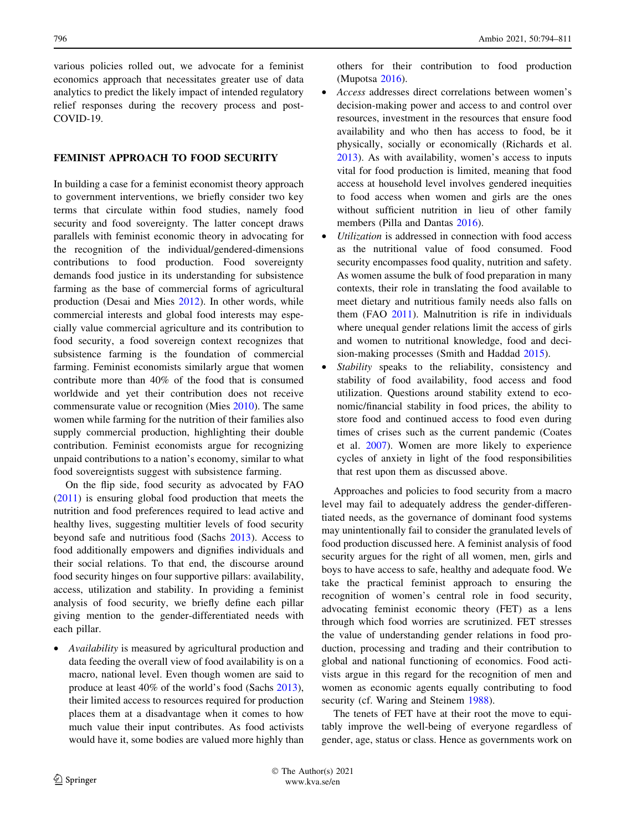various policies rolled out, we advocate for a feminist economics approach that necessitates greater use of data analytics to predict the likely impact of intended regulatory relief responses during the recovery process and post-COVID-19.

## FEMINIST APPROACH TO FOOD SECURITY

In building a case for a feminist economist theory approach to government interventions, we briefly consider two key terms that circulate within food studies, namely food security and food sovereignty. The latter concept draws parallels with feminist economic theory in advocating for the recognition of the individual/gendered-dimensions contributions to food production. Food sovereignty demands food justice in its understanding for subsistence farming as the base of commercial forms of agricultural production (Desai and Mies [2012](#page-13-0)). In other words, while commercial interests and global food interests may especially value commercial agriculture and its contribution to food security, a food sovereign context recognizes that subsistence farming is the foundation of commercial farming. Feminist economists similarly argue that women contribute more than 40% of the food that is consumed worldwide and yet their contribution does not receive commensurate value or recognition (Mies [2010\)](#page-14-0). The same women while farming for the nutrition of their families also supply commercial production, highlighting their double contribution. Feminist economists argue for recognizing unpaid contributions to a nation's economy, similar to what food sovereigntists suggest with subsistence farming.

On the flip side, food security as advocated by FAO [\(2011](#page-13-0)) is ensuring global food production that meets the nutrition and food preferences required to lead active and healthy lives, suggesting multitier levels of food security beyond safe and nutritious food (Sachs [2013](#page-15-0)). Access to food additionally empowers and dignifies individuals and their social relations. To that end, the discourse around food security hinges on four supportive pillars: availability, access, utilization and stability. In providing a feminist analysis of food security, we briefly define each pillar giving mention to the gender-differentiated needs with each pillar.

• Availability is measured by agricultural production and data feeding the overall view of food availability is on a macro, national level. Even though women are said to produce at least 40% of the world's food (Sachs [2013](#page-15-0)), their limited access to resources required for production places them at a disadvantage when it comes to how much value their input contributes. As food activists would have it, some bodies are valued more highly than others for their contribution to food production (Mupotsa [2016](#page-15-0)).

- Access addresses direct correlations between women's decision-making power and access to and control over resources, investment in the resources that ensure food availability and who then has access to food, be it physically, socially or economically (Richards et al. [2013\)](#page-15-0). As with availability, women's access to inputs vital for food production is limited, meaning that food access at household level involves gendered inequities to food access when women and girls are the ones without sufficient nutrition in lieu of other family members (Pilla and Dantas [2016\)](#page-15-0).
- Utilization is addressed in connection with food access as the nutritional value of food consumed. Food security encompasses food quality, nutrition and safety. As women assume the bulk of food preparation in many contexts, their role in translating the food available to meet dietary and nutritious family needs also falls on them (FAO [2011\)](#page-13-0). Malnutrition is rife in individuals where unequal gender relations limit the access of girls and women to nutritional knowledge, food and decision-making processes (Smith and Haddad [2015](#page-15-0)).
- Stability speaks to the reliability, consistency and stability of food availability, food access and food utilization. Questions around stability extend to economic/financial stability in food prices, the ability to store food and continued access to food even during times of crises such as the current pandemic (Coates et al. [2007](#page-13-0)). Women are more likely to experience cycles of anxiety in light of the food responsibilities that rest upon them as discussed above.

Approaches and policies to food security from a macro level may fail to adequately address the gender-differentiated needs, as the governance of dominant food systems may unintentionally fail to consider the granulated levels of food production discussed here. A feminist analysis of food security argues for the right of all women, men, girls and boys to have access to safe, healthy and adequate food. We take the practical feminist approach to ensuring the recognition of women's central role in food security, advocating feminist economic theory (FET) as a lens through which food worries are scrutinized. FET stresses the value of understanding gender relations in food production, processing and trading and their contribution to global and national functioning of economics. Food activists argue in this regard for the recognition of men and women as economic agents equally contributing to food security (cf. Waring and Steinem [1988](#page-16-0)).

The tenets of FET have at their root the move to equitably improve the well-being of everyone regardless of gender, age, status or class. Hence as governments work on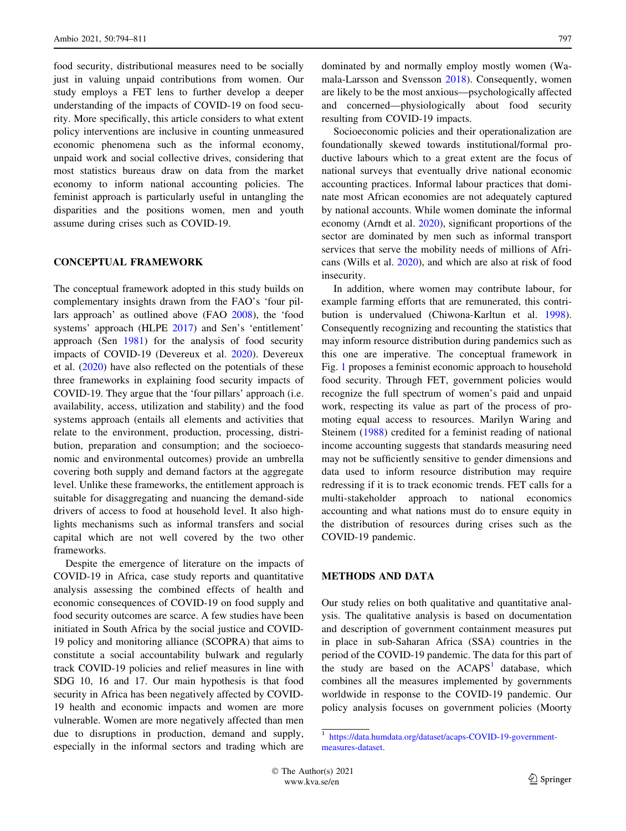food security, distributional measures need to be socially just in valuing unpaid contributions from women. Our study employs a FET lens to further develop a deeper understanding of the impacts of COVID-19 on food security. More specifically, this article considers to what extent policy interventions are inclusive in counting unmeasured economic phenomena such as the informal economy, unpaid work and social collective drives, considering that most statistics bureaus draw on data from the market economy to inform national accounting policies. The feminist approach is particularly useful in untangling the disparities and the positions women, men and youth assume during crises such as COVID-19.

## CONCEPTUAL FRAMEWORK

The conceptual framework adopted in this study builds on complementary insights drawn from the FAO's 'four pillars approach' as outlined above (FAO [2008](#page-13-0)), the 'food systems' approach (HLPE [2017](#page-14-0)) and Sen's 'entitlement' approach (Sen [1981](#page-15-0)) for the analysis of food security impacts of COVID-19 (Devereux et al. [2020](#page-13-0)). Devereux et al. [\(2020](#page-13-0)) have also reflected on the potentials of these three frameworks in explaining food security impacts of COVID-19. They argue that the 'four pillars' approach (i.e. availability, access, utilization and stability) and the food systems approach (entails all elements and activities that relate to the environment, production, processing, distribution, preparation and consumption; and the socioeconomic and environmental outcomes) provide an umbrella covering both supply and demand factors at the aggregate level. Unlike these frameworks, the entitlement approach is suitable for disaggregating and nuancing the demand-side drivers of access to food at household level. It also highlights mechanisms such as informal transfers and social capital which are not well covered by the two other frameworks.

Despite the emergence of literature on the impacts of COVID-19 in Africa, case study reports and quantitative analysis assessing the combined effects of health and economic consequences of COVID-19 on food supply and food security outcomes are scarce. A few studies have been initiated in South Africa by the social justice and COVID-19 policy and monitoring alliance (SCOPRA) that aims to constitute a social accountability bulwark and regularly track COVID-19 policies and relief measures in line with SDG 10, 16 and 17. Our main hypothesis is that food security in Africa has been negatively affected by COVID-19 health and economic impacts and women are more vulnerable. Women are more negatively affected than men due to disruptions in production, demand and supply, especially in the informal sectors and trading which are dominated by and normally employ mostly women (Wamala-Larsson and Svensson [2018\)](#page-16-0). Consequently, women are likely to be the most anxious—psychologically affected and concerned—physiologically about food security resulting from COVID-19 impacts.

Socioeconomic policies and their operationalization are foundationally skewed towards institutional/formal productive labours which to a great extent are the focus of national surveys that eventually drive national economic accounting practices. Informal labour practices that dominate most African economies are not adequately captured by national accounts. While women dominate the informal economy (Arndt et al. [2020](#page-13-0)), significant proportions of the sector are dominated by men such as informal transport services that serve the mobility needs of millions of Africans (Wills et al. [2020](#page-16-0)), and which are also at risk of food insecurity.

In addition, where women may contribute labour, for example farming efforts that are remunerated, this contribution is undervalued (Chiwona-Karltun et al. [1998](#page-13-0)). Consequently recognizing and recounting the statistics that may inform resource distribution during pandemics such as this one are imperative. The conceptual framework in Fig. [1](#page-4-0) proposes a feminist economic approach to household food security. Through FET, government policies would recognize the full spectrum of women's paid and unpaid work, respecting its value as part of the process of promoting equal access to resources. Marilyn Waring and Steinem ([1988\)](#page-16-0) credited for a feminist reading of national income accounting suggests that standards measuring need may not be sufficiently sensitive to gender dimensions and data used to inform resource distribution may require redressing if it is to track economic trends. FET calls for a multi-stakeholder approach to national economics accounting and what nations must do to ensure equity in the distribution of resources during crises such as the COVID-19 pandemic.

# METHODS AND DATA

Our study relies on both qualitative and quantitative analysis. The qualitative analysis is based on documentation and description of government containment measures put in place in sub-Saharan Africa (SSA) countries in the period of the COVID-19 pandemic. The data for this part of the study are based on the  $ACAPS<sup>1</sup>$  database, which combines all the measures implemented by governments worldwide in response to the COVID-19 pandemic. Our policy analysis focuses on government policies (Moorty

<sup>1</sup> [https://data.humdata.org/dataset/acaps-COVID-19-government](https://data.humdata.org/dataset/acaps-COVID-19-government-measures-dataset)[measures-dataset](https://data.humdata.org/dataset/acaps-COVID-19-government-measures-dataset).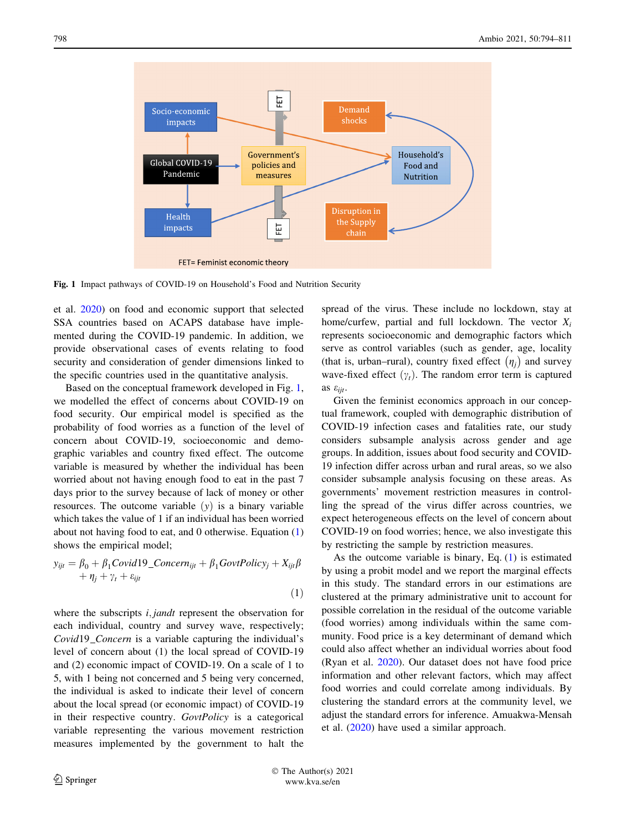<span id="page-4-0"></span>

Fig. 1 Impact pathways of COVID-19 on Household's Food and Nutrition Security

et al. [2020\)](#page-14-0) on food and economic support that selected SSA countries based on ACAPS database have implemented during the COVID-19 pandemic. In addition, we provide observational cases of events relating to food security and consideration of gender dimensions linked to the specific countries used in the quantitative analysis.

Based on the conceptual framework developed in Fig. 1, we modelled the effect of concerns about COVID-19 on food security. Our empirical model is specified as the probability of food worries as a function of the level of concern about COVID-19, socioeconomic and demographic variables and country fixed effect. The outcome variable is measured by whether the individual has been worried about not having enough food to eat in the past 7 days prior to the survey because of lack of money or other resources. The outcome variable  $(y)$  is a binary variable which takes the value of 1 if an individual has been worried about not having food to eat, and 0 otherwise. Equation (1) shows the empirical model;

$$
y_{ijt} = \beta_0 + \beta_1 Covid19\_{Concern_{ijt}} + \beta_1 GovtPolicy_j + X_{ijt}\beta
$$
  
+  $\eta_j + \gamma_t + \varepsilon_{ijt}$ 

where the subscripts *i*, jandt represent the observation for each individual, country and survey wave, respectively; Covid19 Concern is a variable capturing the individual's level of concern about (1) the local spread of COVID-19 and (2) economic impact of COVID-19. On a scale of 1 to 5, with 1 being not concerned and 5 being very concerned, the individual is asked to indicate their level of concern about the local spread (or economic impact) of COVID-19 in their respective country. GovtPolicy is a categorical variable representing the various movement restriction measures implemented by the government to halt the spread of the virus. These include no lockdown, stay at home/curfew, partial and full lockdown. The vector  $X_i$ represents socioeconomic and demographic factors which serve as control variables (such as gender, age, locality (that is, urban–rural), country fixed effect  $(\eta_j)$  and survey wave-fixed effect  $(\gamma_t)$ . The random error term is captured as  $\varepsilon_{ijt}$ .

Given the feminist economics approach in our conceptual framework, coupled with demographic distribution of COVID-19 infection cases and fatalities rate, our study considers subsample analysis across gender and age groups. In addition, issues about food security and COVID-19 infection differ across urban and rural areas, so we also consider subsample analysis focusing on these areas. As governments' movement restriction measures in controlling the spread of the virus differ across countries, we expect heterogeneous effects on the level of concern about COVID-19 on food worries; hence, we also investigate this by restricting the sample by restriction measures.

As the outcome variable is binary, Eq.  $(1)$  is estimated by using a probit model and we report the marginal effects in this study. The standard errors in our estimations are clustered at the primary administrative unit to account for possible correlation in the residual of the outcome variable (food worries) among individuals within the same community. Food price is a key determinant of demand which could also affect whether an individual worries about food (Ryan et al. [2020](#page-15-0)). Our dataset does not have food price information and other relevant factors, which may affect food worries and could correlate among individuals. By clustering the standard errors at the community level, we adjust the standard errors for inference. Amuakwa-Mensah et al. [\(2020](#page-13-0)) have used a similar approach.

 The Author(s) 2021 www.kva.se/en

 $(1)$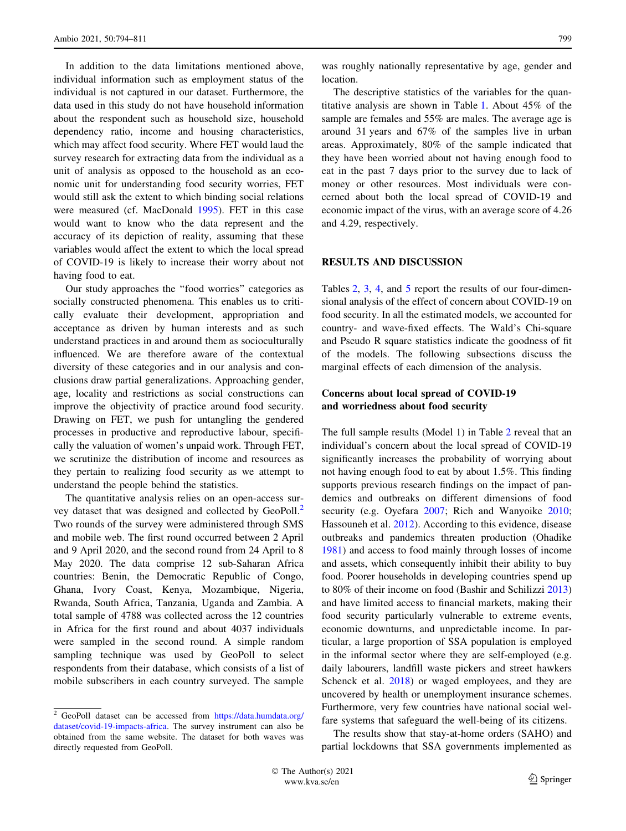In addition to the data limitations mentioned above, individual information such as employment status of the individual is not captured in our dataset. Furthermore, the data used in this study do not have household information about the respondent such as household size, household dependency ratio, income and housing characteristics, which may affect food security. Where FET would laud the survey research for extracting data from the individual as a unit of analysis as opposed to the household as an economic unit for understanding food security worries, FET would still ask the extent to which binding social relations were measured (cf. MacDonald [1995\)](#page-14-0). FET in this case would want to know who the data represent and the accuracy of its depiction of reality, assuming that these variables would affect the extent to which the local spread of COVID-19 is likely to increase their worry about not having food to eat.

Our study approaches the ''food worries'' categories as socially constructed phenomena. This enables us to critically evaluate their development, appropriation and acceptance as driven by human interests and as such understand practices in and around them as socioculturally influenced. We are therefore aware of the contextual diversity of these categories and in our analysis and conclusions draw partial generalizations. Approaching gender, age, locality and restrictions as social constructions can improve the objectivity of practice around food security. Drawing on FET, we push for untangling the gendered processes in productive and reproductive labour, specifically the valuation of women's unpaid work. Through FET, we scrutinize the distribution of income and resources as they pertain to realizing food security as we attempt to understand the people behind the statistics.

The quantitative analysis relies on an open-access survey dataset that was designed and collected by GeoPoll.<sup>2</sup> Two rounds of the survey were administered through SMS and mobile web. The first round occurred between 2 April and 9 April 2020, and the second round from 24 April to 8 May 2020. The data comprise 12 sub-Saharan Africa countries: Benin, the Democratic Republic of Congo, Ghana, Ivory Coast, Kenya, Mozambique, Nigeria, Rwanda, South Africa, Tanzania, Uganda and Zambia. A total sample of 4788 was collected across the 12 countries in Africa for the first round and about 4037 individuals were sampled in the second round. A simple random sampling technique was used by GeoPoll to select respondents from their database, which consists of a list of mobile subscribers in each country surveyed. The sample

was roughly nationally representative by age, gender and location.

The descriptive statistics of the variables for the quantitative analysis are shown in Table [1](#page-6-0). About 45% of the sample are females and 55% are males. The average age is around 31 years and 67% of the samples live in urban areas. Approximately, 80% of the sample indicated that they have been worried about not having enough food to eat in the past 7 days prior to the survey due to lack of money or other resources. Most individuals were concerned about both the local spread of COVID-19 and economic impact of the virus, with an average score of 4.26 and 4.29, respectively.

# RESULTS AND DISCUSSION

Tables [2](#page-7-0), [3](#page-7-0), [4](#page-8-0), and [5](#page-10-0) report the results of our four-dimensional analysis of the effect of concern about COVID-19 on food security. In all the estimated models, we accounted for country- and wave-fixed effects. The Wald's Chi-square and Pseudo R square statistics indicate the goodness of fit of the models. The following subsections discuss the marginal effects of each dimension of the analysis.

# Concerns about local spread of COVID-19 and worriedness about food security

The full sample results (Model 1) in Table [2](#page-7-0) reveal that an individual's concern about the local spread of COVID-19 significantly increases the probability of worrying about not having enough food to eat by about 1.5%. This finding supports previous research findings on the impact of pandemics and outbreaks on different dimensions of food security (e.g. Oyefara [2007](#page-15-0); Rich and Wanyoike [2010](#page-15-0); Hassouneh et al. [2012](#page-14-0)). According to this evidence, disease outbreaks and pandemics threaten production (Ohadike [1981](#page-15-0)) and access to food mainly through losses of income and assets, which consequently inhibit their ability to buy food. Poorer households in developing countries spend up to 80% of their income on food (Bashir and Schilizzi [2013\)](#page-13-0) and have limited access to financial markets, making their food security particularly vulnerable to extreme events, economic downturns, and unpredictable income. In particular, a large proportion of SSA population is employed in the informal sector where they are self-employed (e.g. daily labourers, landfill waste pickers and street hawkers Schenck et al. [2018](#page-15-0)) or waged employees, and they are uncovered by health or unemployment insurance schemes. Furthermore, very few countries have national social welfare systems that safeguard the well-being of its citizens.

The results show that stay-at-home orders (SAHO) and partial lockdowns that SSA governments implemented as

 $2\overline{C}$  GeoPoll dataset can be accessed from [https://data.humdata.org/](https://data.humdata.org/dataset/covid-19-impacts-africa) [dataset/covid-19-impacts-africa.](https://data.humdata.org/dataset/covid-19-impacts-africa) The survey instrument can also be obtained from the same website. The dataset for both waves was directly requested from GeoPoll.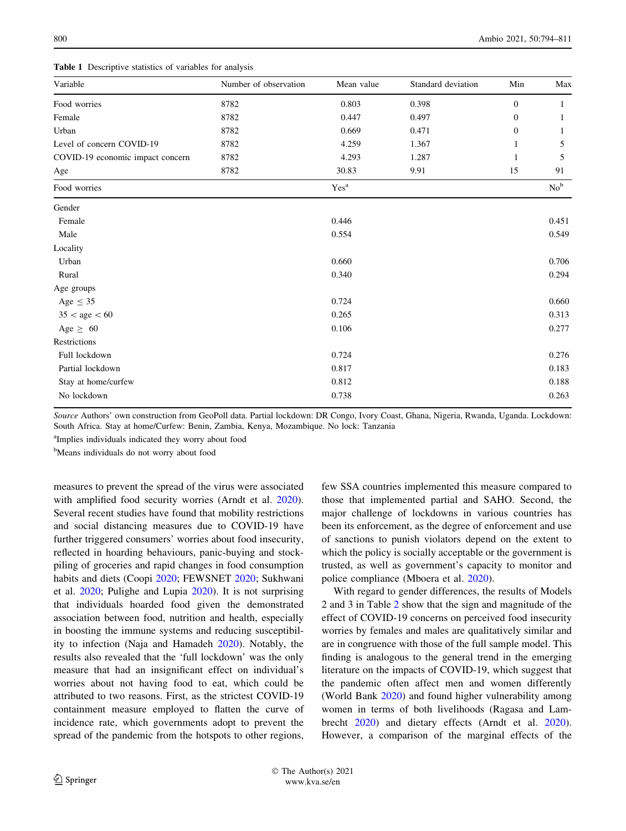<span id="page-6-0"></span>Table 1 Descriptive statistics of variables for analysis

| Variable                         | Number of observation | Mean value       | Standard deviation | Min          | Max             |
|----------------------------------|-----------------------|------------------|--------------------|--------------|-----------------|
| Food worries                     | 8782                  | 0.803            | 0.398              | $\mathbf{0}$ |                 |
| Female                           | 8782                  | 0.447            | 0.497              | $\mathbf{0}$ |                 |
| Urban                            | 8782                  | 0.669            | 0.471              | $\mathbf{0}$ |                 |
| Level of concern COVID-19        | 8782                  | 4.259            | 1.367              | 1            | 5               |
| COVID-19 economic impact concern | 8782                  | 4.293            | 1.287              |              | 5               |
| Age                              | 8782                  | 30.83            | 9.91               | 15           | 91              |
| Food worries                     |                       | Yes <sup>a</sup> |                    |              | No <sup>b</sup> |
| Gender                           |                       |                  |                    |              |                 |
| Female                           |                       | 0.446            |                    |              | 0.451           |
| Male                             |                       | 0.554            |                    |              | 0.549           |
| Locality                         |                       |                  |                    |              |                 |
| Urban                            |                       | 0.660            |                    |              | 0.706           |
| Rural                            |                       | 0.340            |                    |              | 0.294           |
| Age groups                       |                       |                  |                    |              |                 |
| Age $\leq$ 35                    |                       | 0.724            |                    |              | 0.660           |
| $35 <$ age $< 60$                |                       | 0.265            |                    |              | 0.313           |
| Age $\geq 60$                    |                       | 0.106            |                    |              | 0.277           |
| Restrictions                     |                       |                  |                    |              |                 |
| Full lockdown                    |                       | 0.724            |                    |              | 0.276           |
| Partial lockdown                 |                       | 0.817            |                    |              | 0.183           |
| Stay at home/curfew              |                       | 0.812            |                    |              | 0.188           |
| No lockdown                      |                       | 0.738            |                    |              | 0.263           |

Source Authors' own construction from GeoPoll data. Partial lockdown: DR Congo, Ivory Coast, Ghana, Nigeria, Rwanda, Uganda. Lockdown: South Africa. Stay at home/Curfew: Benin, Zambia, Kenya, Mozambique. No lock: Tanzania

<sup>a</sup>Implies individuals indicated they worry about food

<sup>b</sup>Means individuals do not worry about food

measures to prevent the spread of the virus were associated with amplified food security worries (Arndt et al. [2020](#page-13-0)). Several recent studies have found that mobility restrictions and social distancing measures due to COVID-19 have further triggered consumers' worries about food insecurity, reflected in hoarding behaviours, panic-buying and stockpiling of groceries and rapid changes in food consumption habits and diets (Coopi [2020](#page-13-0); FEWSNET [2020](#page-13-0); Sukhwani et al. [2020;](#page-15-0) Pulighe and Lupia [2020](#page-15-0)). It is not surprising that individuals hoarded food given the demonstrated association between food, nutrition and health, especially in boosting the immune systems and reducing susceptibility to infection (Naja and Hamadeh [2020](#page-15-0)). Notably, the results also revealed that the 'full lockdown' was the only measure that had an insignificant effect on individual's worries about not having food to eat, which could be attributed to two reasons. First, as the strictest COVID-19 containment measure employed to flatten the curve of incidence rate, which governments adopt to prevent the spread of the pandemic from the hotspots to other regions,

few SSA countries implemented this measure compared to those that implemented partial and SAHO. Second, the major challenge of lockdowns in various countries has been its enforcement, as the degree of enforcement and use of sanctions to punish violators depend on the extent to which the policy is socially acceptable or the government is trusted, as well as government's capacity to monitor and police compliance (Mboera et al. [2020\)](#page-14-0).

With regard to gender differences, the results of Models 2 and 3 in Table [2](#page-7-0) show that the sign and magnitude of the effect of COVID-19 concerns on perceived food insecurity worries by females and males are qualitatively similar and are in congruence with those of the full sample model. This finding is analogous to the general trend in the emerging literature on the impacts of COVID-19, which suggest that the pandemic often affect men and women differently (World Bank [2020\)](#page-16-0) and found higher vulnerability among women in terms of both livelihoods (Ragasa and Lambrecht [2020\)](#page-15-0) and dietary effects (Arndt et al. [2020](#page-13-0)). However, a comparison of the marginal effects of the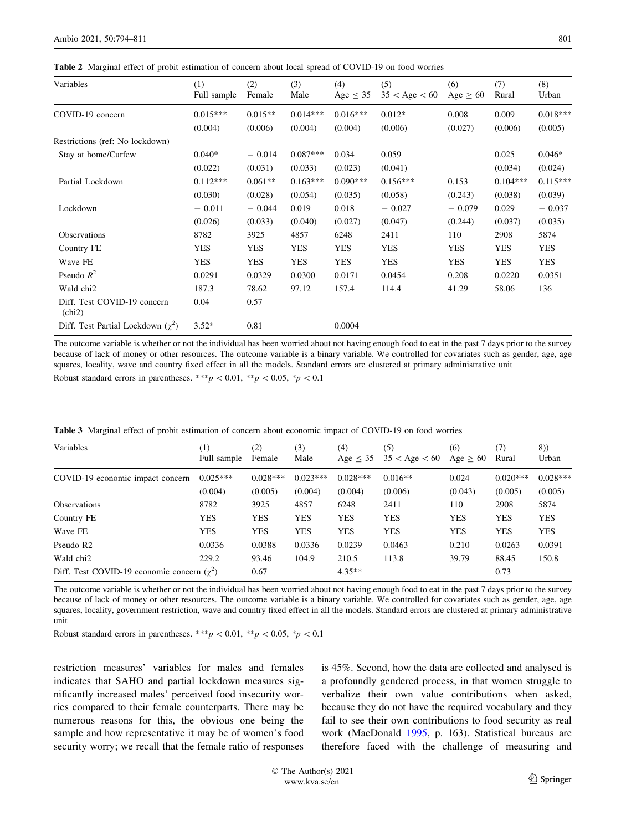<span id="page-7-0"></span>Table 2 Marginal effect of probit estimation of concern about local spread of COVID-19 on food worries

| Variables                                | (1)<br>Full sample | (2)<br>Female | (3)<br>Male | (4)<br>Age $\leq$ 35 | (5)<br>$35 <$ Age $< 60$ | (6)<br>Age $\geq 60$ | (7)<br>Rural | (8)<br>Urban |
|------------------------------------------|--------------------|---------------|-------------|----------------------|--------------------------|----------------------|--------------|--------------|
| COVID-19 concern                         | $0.015***$         | $0.015**$     | $0.014***$  | $0.016***$           | $0.012*$                 | 0.008                | 0.009        | $0.018***$   |
|                                          | (0.004)            | (0.006)       | (0.004)     | (0.004)              | (0.006)                  | (0.027)              | (0.006)      | (0.005)      |
| Restrictions (ref: No lockdown)          |                    |               |             |                      |                          |                      |              |              |
| Stay at home/Curfew                      | $0.040*$           | $-0.014$      | $0.087***$  | 0.034                | 0.059                    |                      | 0.025        | $0.046*$     |
|                                          | (0.022)            | (0.031)       | (0.033)     | (0.023)              | (0.041)                  |                      | (0.034)      | (0.024)      |
| Partial Lockdown                         | $0.112***$         | $0.061**$     | $0.163***$  | $0.090***$           | $0.156***$               | 0.153                | $0.104***$   | $0.115***$   |
|                                          | (0.030)            | (0.028)       | (0.054)     | (0.035)              | (0.058)                  | (0.243)              | (0.038)      | (0.039)      |
| Lockdown                                 | $-0.011$           | $-0.044$      | 0.019       | 0.018                | $-0.027$                 | $-0.079$             | 0.029        | $-0.037$     |
|                                          | (0.026)            | (0.033)       | (0.040)     | (0.027)              | (0.047)                  | (0.244)              | (0.037)      | (0.035)      |
| Observations                             | 8782               | 3925          | 4857        | 6248                 | 2411                     | 110                  | 2908         | 5874         |
| Country FE                               | YES                | <b>YES</b>    | <b>YES</b>  | <b>YES</b>           | <b>YES</b>               | YES                  | YES          | <b>YES</b>   |
| Wave FE                                  | <b>YES</b>         | <b>YES</b>    | <b>YES</b>  | <b>YES</b>           | <b>YES</b>               | <b>YES</b>           | <b>YES</b>   | <b>YES</b>   |
| Pseudo $R^2$                             | 0.0291             | 0.0329        | 0.0300      | 0.0171               | 0.0454                   | 0.208                | 0.0220       | 0.0351       |
| Wald chi2                                | 187.3              | 78.62         | 97.12       | 157.4                | 114.4                    | 41.29                | 58.06        | 136          |
| Diff. Test COVID-19 concern<br>(chi2)    | 0.04               | 0.57          |             |                      |                          |                      |              |              |
| Diff. Test Partial Lockdown $(\gamma^2)$ | $3.52*$            | 0.81          |             | 0.0004               |                          |                      |              |              |

The outcome variable is whether or not the individual has been worried about not having enough food to eat in the past 7 days prior to the survey because of lack of money or other resources. The outcome variable is a binary variable. We controlled for covariates such as gender, age, age squares, locality, wave and country fixed effect in all the models. Standard errors are clustered at primary administrative unit

Robust standard errors in parentheses. \*\*\*p < 0.01, \*\*p < 0.05, \*p < 0.1

| Variables                                         | $\scriptstyle{(1)}$<br>Full sample | (2)<br>Female | (3)<br>Male | (4)<br>Age $<$ 35 | (5)<br>$35 <$ Age $< 60$ | (6)<br>Age $\geq 60$ | (7)<br>Rural | 8))<br>Urban |
|---------------------------------------------------|------------------------------------|---------------|-------------|-------------------|--------------------------|----------------------|--------------|--------------|
| COVID-19 economic impact concern                  | $0.025***$                         | $0.028***$    | $0.023***$  | $0.028***$        | $0.016**$                | 0.024                | $0.020***$   | $0.028***$   |
|                                                   | (0.004)                            | (0.005)       | (0.004)     | (0.004)           | (0.006)                  | (0.043)              | (0.005)      | (0.005)      |
| <b>Observations</b>                               | 8782                               | 3925          | 4857        | 6248              | 2411                     | 110                  | 2908         | 5874         |
| Country FE                                        | <b>YES</b>                         | <b>YES</b>    | <b>YES</b>  | <b>YES</b>        | <b>YES</b>               | <b>YES</b>           | <b>YES</b>   | <b>YES</b>   |
| Wave FE                                           | <b>YES</b>                         | <b>YES</b>    | <b>YES</b>  | <b>YES</b>        | <b>YES</b>               | <b>YES</b>           | <b>YES</b>   | <b>YES</b>   |
| Pseudo R <sub>2</sub>                             | 0.0336                             | 0.0388        | 0.0336      | 0.0239            | 0.0463                   | 0.210                | 0.0263       | 0.0391       |
| Wald chi <sub>2</sub>                             | 229.2                              | 93.46         | 104.9       | 210.5             | 113.8                    | 39.79                | 88.45        | 150.8        |
| Diff. Test COVID-19 economic concern $(\gamma^2)$ |                                    | 0.67          |             | $4.35**$          |                          |                      | 0.73         |              |

Table 3 Marginal effect of probit estimation of concern about economic impact of COVID-19 on food worries

The outcome variable is whether or not the individual has been worried about not having enough food to eat in the past 7 days prior to the survey because of lack of money or other resources. The outcome variable is a binary variable. We controlled for covariates such as gender, age, age squares, locality, government restriction, wave and country fixed effect in all the models. Standard errors are clustered at primary administrative unit

Robust standard errors in parentheses. \*\*\*p < 0.01, \*\*p < 0.05, \*p < 0.1

restriction measures' variables for males and females indicates that SAHO and partial lockdown measures significantly increased males' perceived food insecurity worries compared to their female counterparts. There may be numerous reasons for this, the obvious one being the sample and how representative it may be of women's food security worry; we recall that the female ratio of responses is 45%. Second, how the data are collected and analysed is a profoundly gendered process, in that women struggle to verbalize their own value contributions when asked, because they do not have the required vocabulary and they fail to see their own contributions to food security as real work (MacDonald [1995,](#page-14-0) p. 163). Statistical bureaus are therefore faced with the challenge of measuring and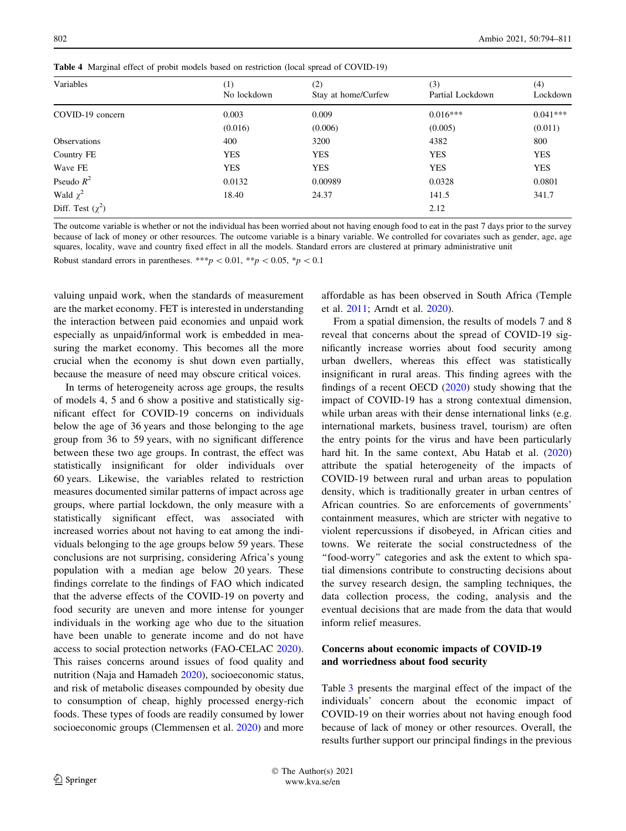| Variables             | $\scriptstyle{(1)}$ | (2)                 | (3)              | (4)        |
|-----------------------|---------------------|---------------------|------------------|------------|
|                       | No lockdown         | Stay at home/Curfew | Partial Lockdown | Lockdown   |
| COVID-19 concern      | 0.003               | 0.009               | $0.016***$       | $0.041***$ |
|                       | (0.016)             | (0.006)             | (0.005)          | (0.011)    |
| <b>Observations</b>   | 400                 | 3200                | 4382             | 800        |
| Country FE            | <b>YES</b>          | <b>YES</b>          | <b>YES</b>       | <b>YES</b> |
| Wave FE               | <b>YES</b>          | <b>YES</b>          | <b>YES</b>       | <b>YES</b> |
| Pseudo $R^2$          | 0.0132              | 0.00989             | 0.0328           | 0.0801     |
| Wald $\chi^2$         | 18.40               | 24.37               | 141.5            | 341.7      |
| Diff. Test $(\chi^2)$ |                     |                     | 2.12             |            |

<span id="page-8-0"></span>Table 4 Marginal effect of probit models based on restriction (local spread of COVID-19)

The outcome variable is whether or not the individual has been worried about not having enough food to eat in the past 7 days prior to the survey because of lack of money or other resources. The outcome variable is a binary variable. We controlled for covariates such as gender, age, age squares, locality, wave and country fixed effect in all the models. Standard errors are clustered at primary administrative unit

Robust standard errors in parentheses. \*\*\*p  $\lt 0.01$ , \*\*p  $\lt 0.05$ , \*p  $\lt 0.1$ 

valuing unpaid work, when the standards of measurement are the market economy. FET is interested in understanding the interaction between paid economies and unpaid work especially as unpaid/informal work is embedded in measuring the market economy. This becomes all the more crucial when the economy is shut down even partially, because the measure of need may obscure critical voices.

In terms of heterogeneity across age groups, the results of models 4, 5 and 6 show a positive and statistically significant effect for COVID-19 concerns on individuals below the age of 36 years and those belonging to the age group from 36 to 59 years, with no significant difference between these two age groups. In contrast, the effect was statistically insignificant for older individuals over 60 years. Likewise, the variables related to restriction measures documented similar patterns of impact across age groups, where partial lockdown, the only measure with a statistically significant effect, was associated with increased worries about not having to eat among the individuals belonging to the age groups below 59 years. These conclusions are not surprising, considering Africa's young population with a median age below 20 years. These findings correlate to the findings of FAO which indicated that the adverse effects of the COVID-19 on poverty and food security are uneven and more intense for younger individuals in the working age who due to the situation have been unable to generate income and do not have access to social protection networks (FAO-CELAC [2020](#page-13-0)). This raises concerns around issues of food quality and nutrition (Naja and Hamadeh [2020](#page-15-0)), socioeconomic status, and risk of metabolic diseases compounded by obesity due to consumption of cheap, highly processed energy-rich foods. These types of foods are readily consumed by lower socioeconomic groups (Clemmensen et al. [2020](#page-13-0)) and more

affordable as has been observed in South Africa (Temple et al. [2011;](#page-15-0) Arndt et al. [2020](#page-13-0)).

From a spatial dimension, the results of models 7 and 8 reveal that concerns about the spread of COVID-19 significantly increase worries about food security among urban dwellers, whereas this effect was statistically insignificant in rural areas. This finding agrees with the findings of a recent OECD ([2020\)](#page-15-0) study showing that the impact of COVID-19 has a strong contextual dimension, while urban areas with their dense international links (e.g. international markets, business travel, tourism) are often the entry points for the virus and have been particularly hard hit. In the same context, Abu Hatab et al. ([2020\)](#page-13-0) attribute the spatial heterogeneity of the impacts of COVID-19 between rural and urban areas to population density, which is traditionally greater in urban centres of African countries. So are enforcements of governments' containment measures, which are stricter with negative to violent repercussions if disobeyed, in African cities and towns. We reiterate the social constructedness of the "food-worry" categories and ask the extent to which spatial dimensions contribute to constructing decisions about the survey research design, the sampling techniques, the data collection process, the coding, analysis and the eventual decisions that are made from the data that would inform relief measures.

# Concerns about economic impacts of COVID-19 and worriedness about food security

Table [3](#page-7-0) presents the marginal effect of the impact of the individuals' concern about the economic impact of COVID-19 on their worries about not having enough food because of lack of money or other resources. Overall, the results further support our principal findings in the previous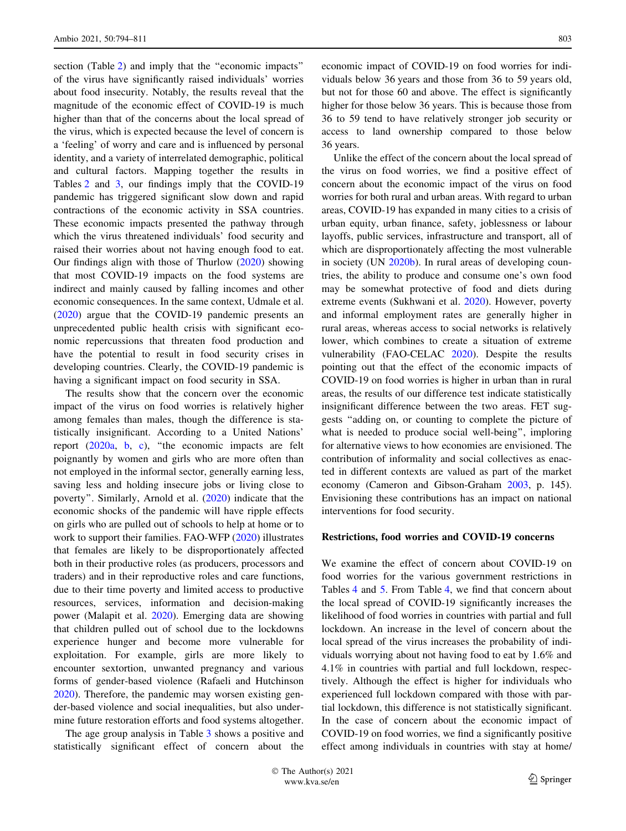section (Table [2\)](#page-7-0) and imply that the ''economic impacts'' of the virus have significantly raised individuals' worries about food insecurity. Notably, the results reveal that the magnitude of the economic effect of COVID-19 is much higher than that of the concerns about the local spread of the virus, which is expected because the level of concern is a 'feeling' of worry and care and is influenced by personal identity, and a variety of interrelated demographic, political and cultural factors. Mapping together the results in Tables [2](#page-7-0) and [3,](#page-7-0) our findings imply that the COVID-19 pandemic has triggered significant slow down and rapid contractions of the economic activity in SSA countries. These economic impacts presented the pathway through which the virus threatened individuals' food security and raised their worries about not having enough food to eat. Our findings align with those of Thurlow ([2020](#page-15-0)) showing that most COVID-19 impacts on the food systems are indirect and mainly caused by falling incomes and other economic consequences. In the same context, Udmale et al. [\(2020](#page-14-0)) argue that the COVID-19 pandemic presents an unprecedented public health crisis with significant economic repercussions that threaten food production and have the potential to result in food security crises in developing countries. Clearly, the COVID-19 pandemic is having a significant impact on food security in SSA.

The results show that the concern over the economic impact of the virus on food worries is relatively higher among females than males, though the difference is statistically insignificant. According to a United Nations' report ([2020a](#page-16-0), [b](#page-16-0), [c\)](#page-16-0), ''the economic impacts are felt poignantly by women and girls who are more often than not employed in the informal sector, generally earning less, saving less and holding insecure jobs or living close to poverty''. Similarly, Arnold et al. ([2020\)](#page-13-0) indicate that the economic shocks of the pandemic will have ripple effects on girls who are pulled out of schools to help at home or to work to support their families. FAO-WFP [\(2020](#page-13-0)) illustrates that females are likely to be disproportionately affected both in their productive roles (as producers, processors and traders) and in their reproductive roles and care functions, due to their time poverty and limited access to productive resources, services, information and decision-making power (Malapit et al. [2020](#page-14-0)). Emerging data are showing that children pulled out of school due to the lockdowns experience hunger and become more vulnerable for exploitation. For example, girls are more likely to encounter sextortion, unwanted pregnancy and various forms of gender-based violence (Rafaeli and Hutchinson [2020\)](#page-15-0). Therefore, the pandemic may worsen existing gender-based violence and social inequalities, but also undermine future restoration efforts and food systems altogether.

The age group analysis in Table [3](#page-7-0) shows a positive and statistically significant effect of concern about the economic impact of COVID-19 on food worries for individuals below 36 years and those from 36 to 59 years old, but not for those 60 and above. The effect is significantly higher for those below 36 years. This is because those from 36 to 59 tend to have relatively stronger job security or access to land ownership compared to those below 36 years.

Unlike the effect of the concern about the local spread of the virus on food worries, we find a positive effect of concern about the economic impact of the virus on food worries for both rural and urban areas. With regard to urban areas, COVID-19 has expanded in many cities to a crisis of urban equity, urban finance, safety, joblessness or labour layoffs, public services, infrastructure and transport, all of which are disproportionately affecting the most vulnerable in society (UN [2020b\)](#page-14-0). In rural areas of developing countries, the ability to produce and consume one's own food may be somewhat protective of food and diets during extreme events (Sukhwani et al. [2020\)](#page-15-0). However, poverty and informal employment rates are generally higher in rural areas, whereas access to social networks is relatively lower, which combines to create a situation of extreme vulnerability (FAO-CELAC [2020\)](#page-13-0). Despite the results pointing out that the effect of the economic impacts of COVID-19 on food worries is higher in urban than in rural areas, the results of our difference test indicate statistically insignificant difference between the two areas. FET suggests ''adding on, or counting to complete the picture of what is needed to produce social well-being'', imploring for alternative views to how economies are envisioned. The contribution of informality and social collectives as enacted in different contexts are valued as part of the market economy (Cameron and Gibson-Graham [2003,](#page-13-0) p. 145). Envisioning these contributions has an impact on national interventions for food security.

## Restrictions, food worries and COVID-19 concerns

We examine the effect of concern about COVID-19 on food worries for the various government restrictions in Tables [4](#page-8-0) and [5.](#page-10-0) From Table [4](#page-8-0), we find that concern about the local spread of COVID-19 significantly increases the likelihood of food worries in countries with partial and full lockdown. An increase in the level of concern about the local spread of the virus increases the probability of individuals worrying about not having food to eat by 1.6% and 4.1% in countries with partial and full lockdown, respectively. Although the effect is higher for individuals who experienced full lockdown compared with those with partial lockdown, this difference is not statistically significant. In the case of concern about the economic impact of COVID-19 on food worries, we find a significantly positive effect among individuals in countries with stay at home/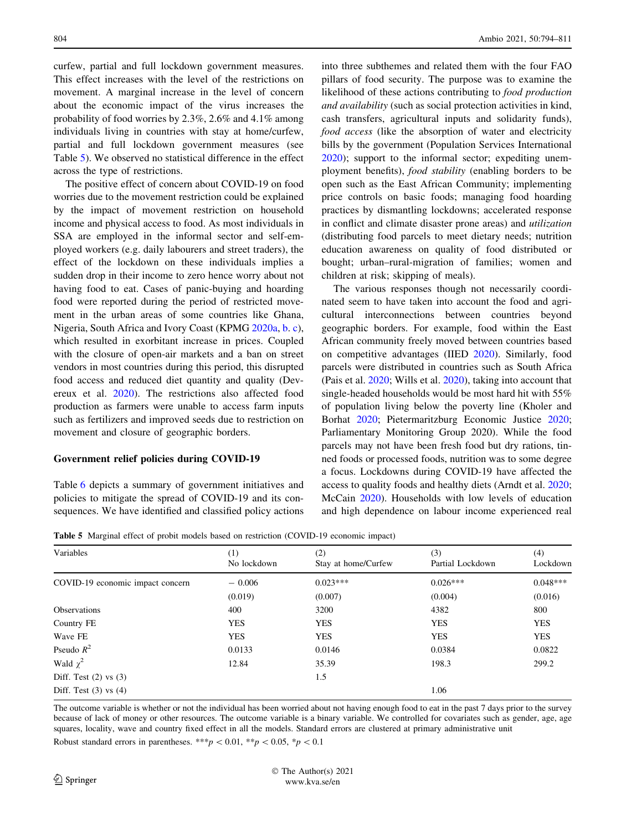<span id="page-10-0"></span>curfew, partial and full lockdown government measures. This effect increases with the level of the restrictions on movement. A marginal increase in the level of concern about the economic impact of the virus increases the probability of food worries by 2.3%, 2.6% and 4.1% among individuals living in countries with stay at home/curfew, partial and full lockdown government measures (see Table 5). We observed no statistical difference in the effect across the type of restrictions.

The positive effect of concern about COVID-19 on food worries due to the movement restriction could be explained by the impact of movement restriction on household income and physical access to food. As most individuals in SSA are employed in the informal sector and self-employed workers (e.g. daily labourers and street traders), the effect of the lockdown on these individuals implies a sudden drop in their income to zero hence worry about not having food to eat. Cases of panic-buying and hoarding food were reported during the period of restricted movement in the urban areas of some countries like Ghana, Nigeria, South Africa and Ivory Coast (KPMG [2020a](#page-14-0), [b.](#page-14-0) [c](#page-14-0)), which resulted in exorbitant increase in prices. Coupled with the closure of open-air markets and a ban on street vendors in most countries during this period, this disrupted food access and reduced diet quantity and quality (Devereux et al. [2020\)](#page-13-0). The restrictions also affected food production as farmers were unable to access farm inputs such as fertilizers and improved seeds due to restriction on movement and closure of geographic borders.

### Government relief policies during COVID-19

Table [6](#page-11-0) depicts a summary of government initiatives and policies to mitigate the spread of COVID-19 and its consequences. We have identified and classified policy actions into three subthemes and related them with the four FAO pillars of food security. The purpose was to examine the likelihood of these actions contributing to food production and availability (such as social protection activities in kind, cash transfers, agricultural inputs and solidarity funds), food access (like the absorption of water and electricity bills by the government (Population Services International [2020](#page-15-0)); support to the informal sector; expediting unemployment benefits), food stability (enabling borders to be open such as the East African Community; implementing price controls on basic foods; managing food hoarding practices by dismantling lockdowns; accelerated response in conflict and climate disaster prone areas) and utilization (distributing food parcels to meet dietary needs; nutrition education awareness on quality of food distributed or bought; urban–rural-migration of families; women and children at risk; skipping of meals).

The various responses though not necessarily coordinated seem to have taken into account the food and agricultural interconnections between countries beyond geographic borders. For example, food within the East African community freely moved between countries based on competitive advantages (IIED [2020\)](#page-14-0). Similarly, food parcels were distributed in countries such as South Africa (Pais et al. [2020](#page-15-0); Wills et al. [2020\)](#page-16-0), taking into account that single-headed households would be most hard hit with 55% of population living below the poverty line (Kholer and Borhat [2020](#page-14-0); Pietermaritzburg Economic Justice [2020](#page-15-0); Parliamentary Monitoring Group 2020). While the food parcels may not have been fresh food but dry rations, tinned foods or processed foods, nutrition was to some degree a focus. Lockdowns during COVID-19 have affected the access to quality foods and healthy diets (Arndt et al. [2020](#page-13-0); McCain [2020\)](#page-14-0). Households with low levels of education and high dependence on labour income experienced real

Table 5 Marginal effect of probit models based on restriction (COVID-19 economic impact)

| Variables                        | (1)<br>No lockdown | (2)<br>Stay at home/Curfew | (3)<br>Partial Lockdown | (4)<br>Lockdown |
|----------------------------------|--------------------|----------------------------|-------------------------|-----------------|
| COVID-19 economic impact concern | $-0.006$           | $0.023***$                 | $0.026***$              | $0.048***$      |
|                                  | (0.019)            | (0.007)                    | (0.004)                 | (0.016)         |
| <b>Observations</b>              | 400                | 3200                       | 4382                    | 800             |
| Country FE                       | <b>YES</b>         | <b>YES</b>                 | <b>YES</b>              | <b>YES</b>      |
| Wave FE                          | <b>YES</b>         | <b>YES</b>                 | <b>YES</b>              | <b>YES</b>      |
| Pseudo $R^2$                     | 0.0133             | 0.0146                     | 0.0384                  | 0.0822          |
| Wald $\chi^2$                    | 12.84              | 35.39                      | 198.3                   | 299.2           |
| Diff. Test $(2)$ vs $(3)$        |                    | 1.5                        |                         |                 |
| Diff. Test $(3)$ vs $(4)$        |                    |                            | 1.06                    |                 |

The outcome variable is whether or not the individual has been worried about not having enough food to eat in the past 7 days prior to the survey because of lack of money or other resources. The outcome variable is a binary variable. We controlled for covariates such as gender, age, age squares, locality, wave and country fixed effect in all the models. Standard errors are clustered at primary administrative unit Robust standard errors in parentheses. \*\*\*p < 0.01, \*\*p < 0.05, \*p < 0.1

 $\hat{2}$  Springer the contract of  $\hat{2}$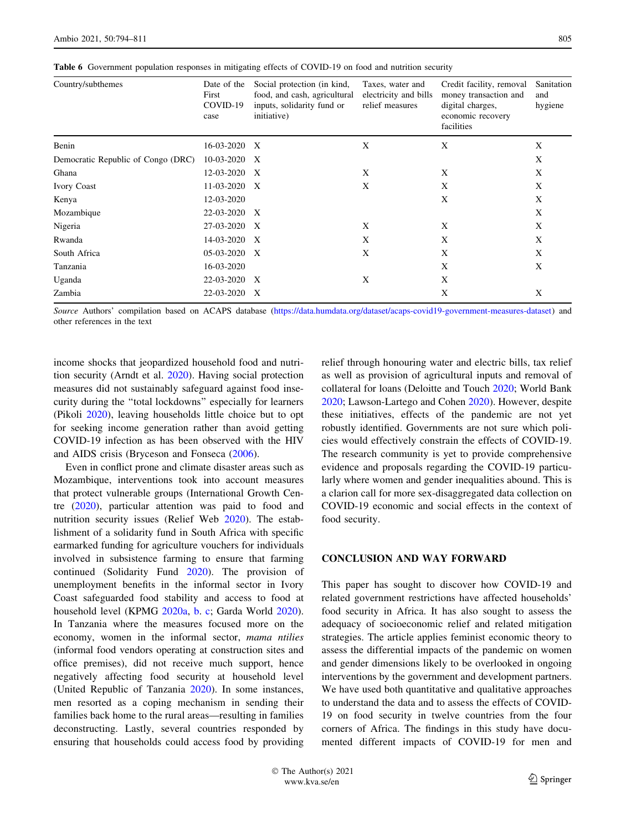| Country/subthemes                  | Date of the<br>First<br>COVID-19<br>case | Social protection (in kind,<br>food, and cash, agricultural<br>inputs, solidarity fund or<br>initiative) | Taxes, water and<br>electricity and bills<br>relief measures | Credit facility, removal<br>money transaction and<br>digital charges,<br>economic recovery<br>facilities | Sanitation<br>and<br>hygiene |
|------------------------------------|------------------------------------------|----------------------------------------------------------------------------------------------------------|--------------------------------------------------------------|----------------------------------------------------------------------------------------------------------|------------------------------|
| Benin                              | 16-03-2020                               | X                                                                                                        | X                                                            | X                                                                                                        | X                            |
| Democratic Republic of Congo (DRC) | 10-03-2020                               | X                                                                                                        |                                                              |                                                                                                          | X                            |
| Ghana                              | 12-03-2020                               | $\boldsymbol{\mathrm{X}}$                                                                                | X                                                            | X                                                                                                        | X                            |
| <b>Ivory Coast</b>                 | 11-03-2020                               | $\boldsymbol{X}$                                                                                         | X                                                            | X                                                                                                        | X                            |
| Kenya                              | 12-03-2020                               |                                                                                                          |                                                              | X                                                                                                        | X                            |
| Mozambique                         | 22-03-2020                               | X                                                                                                        |                                                              |                                                                                                          | X                            |
| Nigeria                            | 27-03-2020                               | $\boldsymbol{X}$                                                                                         | X                                                            | X                                                                                                        | X                            |
| Rwanda                             | 14-03-2020                               | $\boldsymbol{X}$                                                                                         | X                                                            | X                                                                                                        | X                            |
| South Africa                       | 05-03-2020                               | X                                                                                                        | X                                                            | Χ                                                                                                        | X                            |
| Tanzania                           | 16-03-2020                               |                                                                                                          |                                                              | X                                                                                                        | X                            |
| Uganda                             | 22-03-2020                               | X                                                                                                        | X                                                            | X                                                                                                        |                              |
| Zambia                             | 22-03-2020                               | X                                                                                                        |                                                              | X                                                                                                        | X                            |

<span id="page-11-0"></span>Table 6 Government population responses in mitigating effects of COVID-19 on food and nutrition security

Source Authors' compilation based on ACAPS database (<https://data.humdata.org/dataset/acaps-covid19-government-measures-dataset>) and other references in the text

income shocks that jeopardized household food and nutrition security (Arndt et al. [2020](#page-13-0)). Having social protection measures did not sustainably safeguard against food insecurity during the ''total lockdowns'' especially for learners (Pikoli [2020](#page-15-0)), leaving households little choice but to opt for seeking income generation rather than avoid getting COVID-19 infection as has been observed with the HIV and AIDS crisis (Bryceson and Fonseca [\(2006](#page-13-0)).

Even in conflict prone and climate disaster areas such as Mozambique, interventions took into account measures that protect vulnerable groups (International Growth Centre [\(2020](#page-14-0)), particular attention was paid to food and nutrition security issues (Relief Web [2020\)](#page-15-0). The establishment of a solidarity fund in South Africa with specific earmarked funding for agriculture vouchers for individuals involved in subsistence farming to ensure that farming continued (Solidarity Fund [2020\)](#page-15-0). The provision of unemployment benefits in the informal sector in Ivory Coast safeguarded food stability and access to food at household level (KPMG [2020a,](#page-14-0) [b.](#page-14-0) [c](#page-14-0); Garda World [2020](#page-14-0)). In Tanzania where the measures focused more on the economy, women in the informal sector, mama ntilies (informal food vendors operating at construction sites and office premises), did not receive much support, hence negatively affecting food security at household level (United Republic of Tanzania [2020](#page-16-0)). In some instances, men resorted as a coping mechanism in sending their families back home to the rural areas—resulting in families deconstructing. Lastly, several countries responded by ensuring that households could access food by providing relief through honouring water and electric bills, tax relief as well as provision of agricultural inputs and removal of collateral for loans (Deloitte and Touch [2020](#page-13-0); World Bank [2020](#page-16-0); Lawson-Lartego and Cohen [2020\)](#page-14-0). However, despite these initiatives, effects of the pandemic are not yet robustly identified. Governments are not sure which policies would effectively constrain the effects of COVID-19. The research community is yet to provide comprehensive evidence and proposals regarding the COVID-19 particularly where women and gender inequalities abound. This is a clarion call for more sex-disaggregated data collection on COVID-19 economic and social effects in the context of food security.

#### CONCLUSION AND WAY FORWARD

This paper has sought to discover how COVID-19 and related government restrictions have affected households' food security in Africa. It has also sought to assess the adequacy of socioeconomic relief and related mitigation strategies. The article applies feminist economic theory to assess the differential impacts of the pandemic on women and gender dimensions likely to be overlooked in ongoing interventions by the government and development partners. We have used both quantitative and qualitative approaches to understand the data and to assess the effects of COVID-19 on food security in twelve countries from the four corners of Africa. The findings in this study have documented different impacts of COVID-19 for men and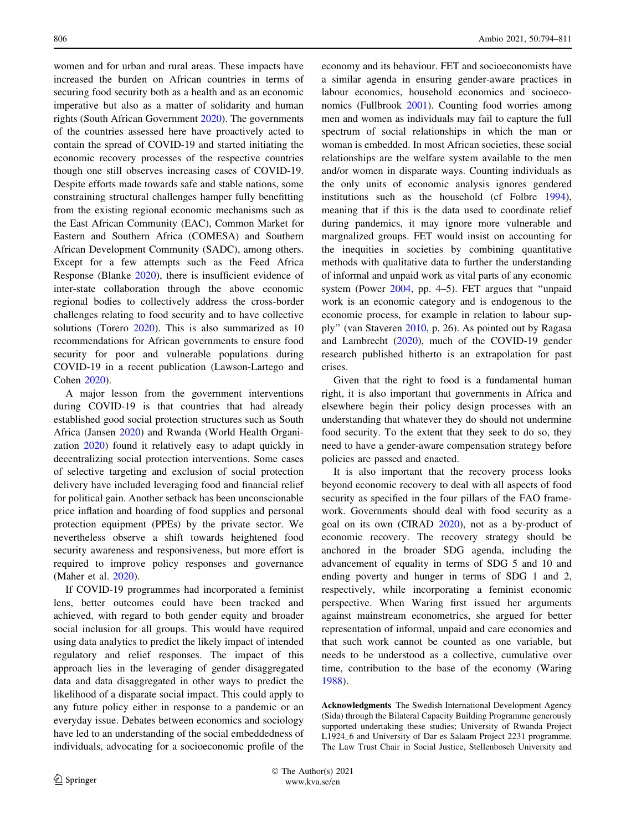women and for urban and rural areas. These impacts have increased the burden on African countries in terms of securing food security both as a health and as an economic imperative but also as a matter of solidarity and human rights (South African Government [2020](#page-15-0)). The governments of the countries assessed here have proactively acted to contain the spread of COVID-19 and started initiating the economic recovery processes of the respective countries though one still observes increasing cases of COVID-19. Despite efforts made towards safe and stable nations, some constraining structural challenges hamper fully benefitting from the existing regional economic mechanisms such as the East African Community (EAC), Common Market for Eastern and Southern Africa (COMESA) and Southern African Development Community (SADC), among others. Except for a few attempts such as the Feed Africa Response (Blanke [2020\)](#page-13-0), there is insufficient evidence of inter-state collaboration through the above economic regional bodies to collectively address the cross-border challenges relating to food security and to have collective solutions (Torero [2020](#page-15-0)). This is also summarized as 10 recommendations for African governments to ensure food security for poor and vulnerable populations during COVID-19 in a recent publication (Lawson-Lartego and Cohen [2020](#page-14-0)).

A major lesson from the government interventions during COVID-19 is that countries that had already established good social protection structures such as South Africa (Jansen [2020\)](#page-14-0) and Rwanda (World Health Organization [2020\)](#page-16-0) found it relatively easy to adapt quickly in decentralizing social protection interventions. Some cases of selective targeting and exclusion of social protection delivery have included leveraging food and financial relief for political gain. Another setback has been unconscionable price inflation and hoarding of food supplies and personal protection equipment (PPEs) by the private sector. We nevertheless observe a shift towards heightened food security awareness and responsiveness, but more effort is required to improve policy responses and governance (Maher et al. [2020](#page-14-0)).

If COVID-19 programmes had incorporated a feminist lens, better outcomes could have been tracked and achieved, with regard to both gender equity and broader social inclusion for all groups. This would have required using data analytics to predict the likely impact of intended regulatory and relief responses. The impact of this approach lies in the leveraging of gender disaggregated data and data disaggregated in other ways to predict the likelihood of a disparate social impact. This could apply to any future policy either in response to a pandemic or an everyday issue. Debates between economics and sociology have led to an understanding of the social embeddedness of individuals, advocating for a socioeconomic profile of the

economy and its behaviour. FET and socioeconomists have a similar agenda in ensuring gender-aware practices in labour economics, household economics and socioeconomics (Fullbrook [2001](#page-14-0)). Counting food worries among men and women as individuals may fail to capture the full spectrum of social relationships in which the man or woman is embedded. In most African societies, these social relationships are the welfare system available to the men and/or women in disparate ways. Counting individuals as the only units of economic analysis ignores gendered institutions such as the household (cf Folbre [1994](#page-14-0)), meaning that if this is the data used to coordinate relief during pandemics, it may ignore more vulnerable and margnalized groups. FET would insist on accounting for the inequities in societies by combining quantitative methods with qualitative data to further the understanding of informal and unpaid work as vital parts of any economic system (Power [2004](#page-15-0), pp. 4–5). FET argues that ''unpaid work is an economic category and is endogenous to the economic process, for example in relation to labour supply'' (van Staveren [2010,](#page-16-0) p. 26). As pointed out by Ragasa and Lambrecht ([2020\)](#page-15-0), much of the COVID-19 gender research published hitherto is an extrapolation for past crises.

Given that the right to food is a fundamental human right, it is also important that governments in Africa and elsewhere begin their policy design processes with an understanding that whatever they do should not undermine food security. To the extent that they seek to do so, they need to have a gender-aware compensation strategy before policies are passed and enacted.

It is also important that the recovery process looks beyond economic recovery to deal with all aspects of food security as specified in the four pillars of the FAO framework. Governments should deal with food security as a goal on its own (CIRAD [2020](#page-13-0)), not as a by-product of economic recovery. The recovery strategy should be anchored in the broader SDG agenda, including the advancement of equality in terms of SDG 5 and 10 and ending poverty and hunger in terms of SDG 1 and 2, respectively, while incorporating a feminist economic perspective. When Waring first issued her arguments against mainstream econometrics, she argued for better representation of informal, unpaid and care economies and that such work cannot be counted as one variable, but needs to be understood as a collective, cumulative over time, contribution to the base of the economy (Waring [1988](#page-16-0)).

Acknowledgments The Swedish International Development Agency (Sida) through the Bilateral Capacity Building Programme generously supported undertaking these studies; University of Rwanda Project L1924\_6 and University of Dar es Salaam Project 2231 programme. The Law Trust Chair in Social Justice, Stellenbosch University and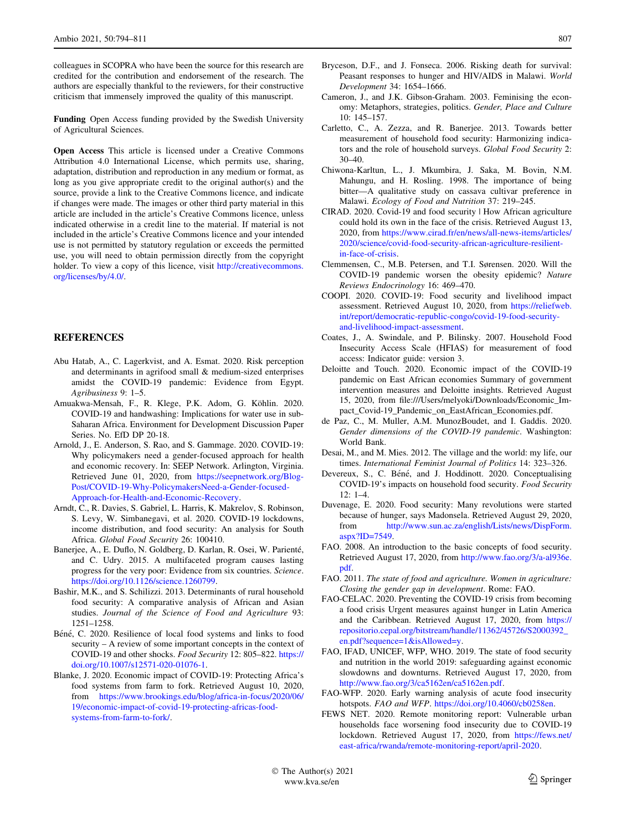<span id="page-13-0"></span>colleagues in SCOPRA who have been the source for this research are credited for the contribution and endorsement of the research. The authors are especially thankful to the reviewers, for their constructive criticism that immensely improved the quality of this manuscript.

Funding Open Access funding provided by the Swedish University of Agricultural Sciences.

Open Access This article is licensed under a Creative Commons Attribution 4.0 International License, which permits use, sharing, adaptation, distribution and reproduction in any medium or format, as long as you give appropriate credit to the original author(s) and the source, provide a link to the Creative Commons licence, and indicate if changes were made. The images or other third party material in this article are included in the article's Creative Commons licence, unless indicated otherwise in a credit line to the material. If material is not included in the article's Creative Commons licence and your intended use is not permitted by statutory regulation or exceeds the permitted use, you will need to obtain permission directly from the copyright holder. To view a copy of this licence, visit [http://creativecommons.](http://creativecommons.org/licenses/by/4.0/) [org/licenses/by/4.0/.](http://creativecommons.org/licenses/by/4.0/)

# REFERENCES

- Abu Hatab, A., C. Lagerkvist, and A. Esmat. 2020. Risk perception and determinants in agrifood small & medium-sized enterprises amidst the COVID-19 pandemic: Evidence from Egypt. Agribusiness 9: 1–5.
- Amuakwa-Mensah, F., R. Klege, P.K. Adom, G. Köhlin. 2020. COVID-19 and handwashing: Implications for water use in sub-Saharan Africa. Environment for Development Discussion Paper Series. No. EfD DP 20-18.
- Arnold, J., E. Anderson, S. Rao, and S. Gammage. 2020. COVID-19: Why policymakers need a gender-focused approach for health and economic recovery. In: SEEP Network. Arlington, Virginia. Retrieved June 01, 2020, from [https://seepnetwork.org/Blog-](https://seepnetwork.org/Blog-Post/COVID-19-Why-PolicymakersNeed-a-Gender-focused-Approach-for-Health-and-Economic-Recovery)[Post/COVID-19-Why-PolicymakersNeed-a-Gender-focused-](https://seepnetwork.org/Blog-Post/COVID-19-Why-PolicymakersNeed-a-Gender-focused-Approach-for-Health-and-Economic-Recovery)[Approach-for-Health-and-Economic-Recovery](https://seepnetwork.org/Blog-Post/COVID-19-Why-PolicymakersNeed-a-Gender-focused-Approach-for-Health-and-Economic-Recovery).
- Arndt, C., R. Davies, S. Gabriel, L. Harris, K. Makrelov, S. Robinson, S. Levy, W. Simbanegavi, et al. 2020. COVID-19 lockdowns, income distribution, and food security: An analysis for South Africa. Global Food Security 26: 100410.
- Banerjee, A., E. Duflo, N. Goldberg, D. Karlan, R. Osei, W. Parienté, and C. Udry. 2015. A multifaceted program causes lasting progress for the very poor: Evidence from six countries. Science. <https://doi.org/10.1126/science.1260799>.
- Bashir, M.K., and S. Schilizzi. 2013. Determinants of rural household food security: A comparative analysis of African and Asian studies. Journal of the Science of Food and Agriculture 93: 1251–1258.
- Béné, C. 2020. Resilience of local food systems and links to food security – A review of some important concepts in the context of COVID-19 and other shocks. Food Security 12: 805–822. [https://](https://doi.org/10.1007/s12571-020-01076-1) [doi.org/10.1007/s12571-020-01076-1.](https://doi.org/10.1007/s12571-020-01076-1)
- Blanke, J. 2020. Economic impact of COVID-19: Protecting Africa's food systems from farm to fork. Retrieved August 10, 2020, from [https://www.brookings.edu/blog/africa-in-focus/2020/06/](https://www.brookings.edu/blog/africa-in-focus/2020/06/19/economic-impact-of-covid-19-protecting-africas-food-systems-from-farm-to-fork/) [19/economic-impact-of-covid-19-protecting-africas-food](https://www.brookings.edu/blog/africa-in-focus/2020/06/19/economic-impact-of-covid-19-protecting-africas-food-systems-from-farm-to-fork/)[systems-from-farm-to-fork/.](https://www.brookings.edu/blog/africa-in-focus/2020/06/19/economic-impact-of-covid-19-protecting-africas-food-systems-from-farm-to-fork/)
- Bryceson, D.F., and J. Fonseca. 2006. Risking death for survival: Peasant responses to hunger and HIV/AIDS in Malawi. World Development 34: 1654–1666.
- Cameron, J., and J.K. Gibson-Graham. 2003. Feminising the economy: Metaphors, strategies, politics. Gender, Place and Culture 10: 145–157.
- Carletto, C., A. Zezza, and R. Banerjee. 2013. Towards better measurement of household food security: Harmonizing indicators and the role of household surveys. Global Food Security 2: 30–40.
- Chiwona-Karltun, L., J. Mkumbira, J. Saka, M. Bovin, N.M. Mahungu, and H. Rosling. 1998. The importance of being bitter—A qualitative study on cassava cultivar preference in Malawi. Ecology of Food and Nutrition 37: 219–245.
- CIRAD. 2020. Covid-19 and food security | How African agriculture could hold its own in the face of the crisis. Retrieved August 13, 2020, from [https://www.cirad.fr/en/news/all-news-items/articles/](https://www.cirad.fr/en/news/all-news-items/articles/2020/science/covid-food-security-african-agriculture-resilient-in-face-of-crisis) [2020/science/covid-food-security-african-agriculture-resilient](https://www.cirad.fr/en/news/all-news-items/articles/2020/science/covid-food-security-african-agriculture-resilient-in-face-of-crisis)[in-face-of-crisis](https://www.cirad.fr/en/news/all-news-items/articles/2020/science/covid-food-security-african-agriculture-resilient-in-face-of-crisis).
- Clemmensen, C., M.B. Petersen, and T.I. Sørensen. 2020. Will the COVID-19 pandemic worsen the obesity epidemic? Nature Reviews Endocrinology 16: 469–470.
- COOPI. 2020. COVID-19: Food security and livelihood impact assessment. Retrieved August 10, 2020, from [https://reliefweb.](https://reliefweb.int/report/democratic-republic-congo/covid-19-food-security-and-livelihood-impact-assessment) [int/report/democratic-republic-congo/covid-19-food-security](https://reliefweb.int/report/democratic-republic-congo/covid-19-food-security-and-livelihood-impact-assessment)[and-livelihood-impact-assessment](https://reliefweb.int/report/democratic-republic-congo/covid-19-food-security-and-livelihood-impact-assessment).
- Coates, J., A. Swindale, and P. Bilinsky. 2007. Household Food Insecurity Access Scale (HFIAS) for measurement of food access: Indicator guide: version 3.
- Deloitte and Touch. 2020. Economic impact of the COVID-19 pandemic on East African economies Summary of government intervention measures and Deloitte insights. Retrieved August 15, 2020, from file:///Users/melyoki/Downloads/Economic\_Impact\_Covid-19\_Pandemic\_on\_EastAfrican\_Economies.pdf.
- de Paz, C., M. Muller, A.M. MunozBoudet, and I. Gaddis. 2020. Gender dimensions of the COVID-19 pandemic. Washington: World Bank.
- Desai, M., and M. Mies. 2012. The village and the world: my life, our times. International Feminist Journal of Politics 14: 323–326.
- Devereux, S., C. Béné, and J. Hoddinott. 2020. Conceptualising COVID-19's impacts on household food security. Food Security 12: 1–4.
- Duvenage, E. 2020. Food security: Many revolutions were started because of hunger, says Madonsela. Retrieved August 29, 2020, from [http://www.sun.ac.za/english/Lists/news/DispForm.](http://www.sun.ac.za/english/Lists/news/DispForm.aspx?ID=7549) [aspx?ID=7549](http://www.sun.ac.za/english/Lists/news/DispForm.aspx?ID=7549).
- FAO. 2008. An introduction to the basic concepts of food security. Retrieved August 17, 2020, from [http://www.fao.org/3/a-al936e.](http://www.fao.org/3/a-al936e.pdf) [pdf](http://www.fao.org/3/a-al936e.pdf).
- FAO. 2011. The state of food and agriculture. Women in agriculture: Closing the gender gap in development. Rome: FAO.
- FAO-CELAC. 2020. Preventing the COVID-19 crisis from becoming a food crisis Urgent measures against hunger in Latin America and the Caribbean. Retrieved August 17, 2020, from [https://](https://repositorio.cepal.org/bitstream/handle/11362/45726/S2000392_en.pdf%3fsequence%3d1%26isAllowed%3dy) [repositorio.cepal.org/bitstream/handle/11362/45726/S2000392\\_](https://repositorio.cepal.org/bitstream/handle/11362/45726/S2000392_en.pdf%3fsequence%3d1%26isAllowed%3dy) [en.pdf?sequence=1&isAllowed=y.](https://repositorio.cepal.org/bitstream/handle/11362/45726/S2000392_en.pdf%3fsequence%3d1%26isAllowed%3dy)
- FAO, IFAD, UNICEF, WFP, WHO. 2019. The state of food security and nutrition in the world 2019: safeguarding against economic slowdowns and downturns. Retrieved August 17, 2020, from <http://www.fao.org/3/ca5162en/ca5162en.pdf>.
- FAO-WFP. 2020. Early warning analysis of acute food insecurity hotspots. FAO and WFP. [https://doi.org/10.4060/cb0258en.](https://doi.org/10.4060/cb0258en)
- FEWS NET. 2020. Remote monitoring report: Vulnerable urban households face worsening food insecurity due to COVID-19 lockdown. Retrieved August 17, 2020, from [https://fews.net/](https://fews.net/east-africa/rwanda/remote-monitoring-report/april-2020) [east-africa/rwanda/remote-monitoring-report/april-2020](https://fews.net/east-africa/rwanda/remote-monitoring-report/april-2020).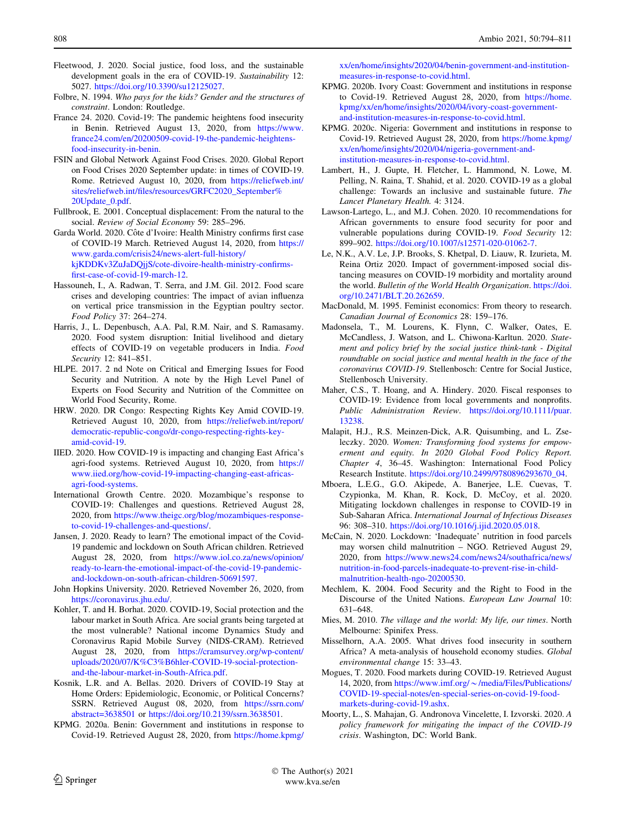- <span id="page-14-0"></span>Fleetwood, J. 2020. Social justice, food loss, and the sustainable development goals in the era of COVID-19. Sustainability 12: 5027. <https://doi.org/10.3390/su12125027>.
- Folbre, N. 1994. Who pays for the kids? Gender and the structures of constraint. London: Routledge.
- France 24. 2020. Covid-19: The pandemic heightens food insecurity in Benin. Retrieved August 13, 2020, from [https://www.](https://www.france24.com/en/20200509-covid-19-the-pandemic-heightens-food-insecurity-in-benin) [france24.com/en/20200509-covid-19-the-pandemic-heightens](https://www.france24.com/en/20200509-covid-19-the-pandemic-heightens-food-insecurity-in-benin)[food-insecurity-in-benin](https://www.france24.com/en/20200509-covid-19-the-pandemic-heightens-food-insecurity-in-benin).
- FSIN and Global Network Against Food Crises. 2020. Global Report on Food Crises 2020 September update: in times of COVID-19. Rome. Retrieved August 10, 2020, from [https://reliefweb.int/](https://reliefweb.int/sites/reliefweb.int/files/resources/GRFC2020_September%20Update_0.pdf) [sites/reliefweb.int/files/resources/GRFC2020\\_September%](https://reliefweb.int/sites/reliefweb.int/files/resources/GRFC2020_September%20Update_0.pdf) [20Update\\_0.pdf.](https://reliefweb.int/sites/reliefweb.int/files/resources/GRFC2020_September%20Update_0.pdf)
- Fullbrook, E. 2001. Conceptual displacement: From the natural to the social. Review of Social Economy 59: 285–296.
- Garda World. 2020. Côte d'Ivoire: Health Ministry confirms first case of COVID-19 March. Retrieved August 14, 2020, from [https://](https://www.garda.com/crisis24/news-alert-full-history/kjKDDKv3ZuJaDQjjS/cote-divoire-health-ministry-confirms-first-case-of-covid-19-march-12) [www.garda.com/crisis24/news-alert-full-history/](https://www.garda.com/crisis24/news-alert-full-history/kjKDDKv3ZuJaDQjjS/cote-divoire-health-ministry-confirms-first-case-of-covid-19-march-12) [kjKDDKv3ZuJaDQjjS/cote-divoire-health-ministry-confirms](https://www.garda.com/crisis24/news-alert-full-history/kjKDDKv3ZuJaDQjjS/cote-divoire-health-ministry-confirms-first-case-of-covid-19-march-12)[first-case-of-covid-19-march-12.](https://www.garda.com/crisis24/news-alert-full-history/kjKDDKv3ZuJaDQjjS/cote-divoire-health-ministry-confirms-first-case-of-covid-19-march-12)
- Hassouneh, I., A. Radwan, T. Serra, and J.M. Gil. 2012. Food scare crises and developing countries: The impact of avian influenza on vertical price transmission in the Egyptian poultry sector. Food Policy 37: 264–274.
- Harris, J., L. Depenbusch, A.A. Pal, R.M. Nair, and S. Ramasamy. 2020. Food system disruption: Initial livelihood and dietary effects of COVID-19 on vegetable producers in India. Food Security 12: 841–851.
- HLPE. 2017. 2 nd Note on Critical and Emerging Issues for Food Security and Nutrition. A note by the High Level Panel of Experts on Food Security and Nutrition of the Committee on World Food Security, Rome.
- HRW. 2020. DR Congo: Respecting Rights Key Amid COVID-19. Retrieved August 10, 2020, from [https://reliefweb.int/report/](https://reliefweb.int/report/democratic-republic-congo/dr-congo-respecting-rights-key-amid-covid-19) [democratic-republic-congo/dr-congo-respecting-rights-key](https://reliefweb.int/report/democratic-republic-congo/dr-congo-respecting-rights-key-amid-covid-19)[amid-covid-19](https://reliefweb.int/report/democratic-republic-congo/dr-congo-respecting-rights-key-amid-covid-19).
- IIED. 2020. How COVID-19 is impacting and changing East Africa's agri-food systems. Retrieved August 10, 2020, from [https://](https://www.iied.org/how-covid-19-impacting-changing-east-africas-agri-food-systems) [www.iied.org/how-covid-19-impacting-changing-east-africas](https://www.iied.org/how-covid-19-impacting-changing-east-africas-agri-food-systems)[agri-food-systems](https://www.iied.org/how-covid-19-impacting-changing-east-africas-agri-food-systems).
- International Growth Centre. 2020. Mozambique's response to COVID-19: Challenges and questions. Retrieved August 28, 2020, from [https://www.theigc.org/blog/mozambiques-response](https://www.theigc.org/blog/mozambiques-response-to-covid-19-challenges-and-questions/)[to-covid-19-challenges-and-questions/.](https://www.theigc.org/blog/mozambiques-response-to-covid-19-challenges-and-questions/)
- Jansen, J. 2020. Ready to learn? The emotional impact of the Covid-19 pandemic and lockdown on South African children. Retrieved August 28, 2020, from [https://www.iol.co.za/news/opinion/](https://www.iol.co.za/news/opinion/ready-to-learn-the-emotional-impact-of-the-covid-19-pandemic-and-lockdown-on-south-african-children-50691597) [ready-to-learn-the-emotional-impact-of-the-covid-19-pandemic](https://www.iol.co.za/news/opinion/ready-to-learn-the-emotional-impact-of-the-covid-19-pandemic-and-lockdown-on-south-african-children-50691597)[and-lockdown-on-south-african-children-50691597.](https://www.iol.co.za/news/opinion/ready-to-learn-the-emotional-impact-of-the-covid-19-pandemic-and-lockdown-on-south-african-children-50691597)
- John Hopkins University. 2020. Retrieved November 26, 2020, from <https://coronavirus.jhu.edu/>.
- Kohler, T. and H. Borhat. 2020. COVID-19, Social protection and the labour market in South Africa. Are social grants being targeted at the most vulnerable? National income Dynamics Study and Coronavirus Rapid Mobile Survey (NIDS-CRAM). Retrieved August 28, 2020, from [https://cramsurvey.org/wp-content/](https://cramsurvey.org/wp-content/uploads/2020/07/K%25C3%25B6hler-COVID-19-social-protection-and-the-labour-market-in-South-Africa.pdf) [uploads/2020/07/K%C3%B6hler-COVID-19-social-protection](https://cramsurvey.org/wp-content/uploads/2020/07/K%25C3%25B6hler-COVID-19-social-protection-and-the-labour-market-in-South-Africa.pdf)[and-the-labour-market-in-South-Africa.pdf](https://cramsurvey.org/wp-content/uploads/2020/07/K%25C3%25B6hler-COVID-19-social-protection-and-the-labour-market-in-South-Africa.pdf).
- Kosnik, L.R. and A. Bellas. 2020. Drivers of COVID-19 Stay at Home Orders: Epidemiologic, Economic, or Political Concerns? SSRN. Retrieved August 08, 2020, from [https://ssrn.com/](https://ssrn.com/abstract=3638501) [abstract=3638501](https://ssrn.com/abstract=3638501) or <https://doi.org/10.2139/ssrn.3638501>.
- KPMG. 2020a. Benin: Government and institutions in response to Covid-19. Retrieved August 28, 2020, from [https://home.kpmg/](https://home.kpmg/xx/en/home/insights/2020/04/benin-government-and-institution-measures-in-response-to-covid.html)

[xx/en/home/insights/2020/04/benin-government-and-institution](https://home.kpmg/xx/en/home/insights/2020/04/benin-government-and-institution-measures-in-response-to-covid.html)[measures-in-response-to-covid.html](https://home.kpmg/xx/en/home/insights/2020/04/benin-government-and-institution-measures-in-response-to-covid.html).

- KPMG. 2020b. Ivory Coast: Government and institutions in response to Covid-19. Retrieved August 28, 2020, from [https://home.](https://home.kpmg/xx/en/home/insights/2020/04/ivory-coast-government-and-institution-measures-in-response-to-covid.html) [kpmg/xx/en/home/insights/2020/04/ivory-coast-government](https://home.kpmg/xx/en/home/insights/2020/04/ivory-coast-government-and-institution-measures-in-response-to-covid.html)[and-institution-measures-in-response-to-covid.html.](https://home.kpmg/xx/en/home/insights/2020/04/ivory-coast-government-and-institution-measures-in-response-to-covid.html)
- KPMG. 2020c. Nigeria: Government and institutions in response to Covid-19. Retrieved August 28, 2020, from [https://home.kpmg/](https://home.kpmg/xx/en/home/insights/2020/04/nigeria-government-and-institution-measures-in-response-to-covid.html) [xx/en/home/insights/2020/04/nigeria-government-and](https://home.kpmg/xx/en/home/insights/2020/04/nigeria-government-and-institution-measures-in-response-to-covid.html)[institution-measures-in-response-to-covid.html.](https://home.kpmg/xx/en/home/insights/2020/04/nigeria-government-and-institution-measures-in-response-to-covid.html)
- Lambert, H., J. Gupte, H. Fletcher, L. Hammond, N. Lowe, M. Pelling, N. Raina, T. Shahid, et al. 2020. COVID-19 as a global challenge: Towards an inclusive and sustainable future. The Lancet Planetary Health. 4: 3124.
- Lawson-Lartego, L., and M.J. Cohen. 2020. 10 recommendations for African governments to ensure food security for poor and vulnerable populations during COVID-19. Food Security 12: 899–902. [https://doi.org/10.1007/s12571-020-01062-7.](https://doi.org/10.1007/s12571-020-01062-7)
- Le, N.K., A.V. Le, J.P. Brooks, S. Khetpal, D. Liauw, R. Izurieta, M. Reina Ortiz 2020. Impact of government-imposed social distancing measures on COVID-19 morbidity and mortality around the world. Bulletin of the World Health Organization. [https://doi.](https://doi.org/10.2471/BLT.20.262659) [org/10.2471/BLT.20.262659.](https://doi.org/10.2471/BLT.20.262659)
- MacDonald, M. 1995. Feminist economics: From theory to research. Canadian Journal of Economics 28: 159–176.
- Madonsela, T., M. Lourens, K. Flynn, C. Walker, Oates, E. McCandless, J. Watson, and L. Chiwona-Karltun. 2020. Statement and policy brief by the social justice think-tank - Digital roundtable on social justice and mental health in the face of the coronavirus COVID-19. Stellenbosch: Centre for Social Justice, Stellenbosch University.
- Maher, C.S., T. Hoang, and A. Hindery. 2020. Fiscal responses to COVID-19: Evidence from local governments and nonprofits. Public Administration Review. [https://doi.org/10.1111/puar.](https://doi.org/10.1111/puar.13238) [13238](https://doi.org/10.1111/puar.13238).
- Malapit, H.J., R.S. Meinzen-Dick, A.R. Quisumbing, and L. Zseleczky. 2020. Women: Transforming food systems for empowerment and equity. In 2020 Global Food Policy Report. Chapter 4, 36–45. Washington: International Food Policy Research Institute. [https://doi.org/10.2499/9780896293670\\_04.](https://doi.org/10.2499/9780896293670_04)
- Mboera, L.E.G., G.O. Akipede, A. Banerjee, L.E. Cuevas, T. Czypionka, M. Khan, R. Kock, D. McCoy, et al. 2020. Mitigating lockdown challenges in response to COVID-19 in Sub-Saharan Africa. International Journal of Infectious Diseases 96: 308–310. [https://doi.org/10.1016/j.ijid.2020.05.018.](https://doi.org/10.1016/j.ijid.2020.05.018)
- McCain, N. 2020. Lockdown: 'Inadequate' nutrition in food parcels may worsen child malnutrition – NGO. Retrieved August 29, 2020, from [https://www.news24.com/news24/southafrica/news/](https://www.news24.com/news24/southafrica/news/nutrition-in-food-parcels-inadequate-to-prevent-rise-in-child-malnutrition-health-ngo-20200530) [nutrition-in-food-parcels-inadequate-to-prevent-rise-in-child](https://www.news24.com/news24/southafrica/news/nutrition-in-food-parcels-inadequate-to-prevent-rise-in-child-malnutrition-health-ngo-20200530)[malnutrition-health-ngo-20200530](https://www.news24.com/news24/southafrica/news/nutrition-in-food-parcels-inadequate-to-prevent-rise-in-child-malnutrition-health-ngo-20200530).
- Mechlem, K. 2004. Food Security and the Right to Food in the Discourse of the United Nations. European Law Journal 10: 631–648.
- Mies, M. 2010. The village and the world: My life, our times. North Melbourne: Spinifex Press.
- Misselhorn, A.A. 2005. What drives food insecurity in southern Africa? A meta-analysis of household economy studies. Global environmental change 15: 33–43.
- Mogues, T. 2020. Food markets during COVID-19. Retrieved August 14, 2020, from https://www.imf.org/~[/media/Files/Publications/](https://www.imf.org/%7e/media/Files/Publications/COVID-19-special-notes/en-special-series-on-covid-19-food-markets-during-covid-19.ashx) [COVID-19-special-notes/en-special-series-on-covid-19-food](https://www.imf.org/%7e/media/Files/Publications/COVID-19-special-notes/en-special-series-on-covid-19-food-markets-during-covid-19.ashx)[markets-during-covid-19.ashx.](https://www.imf.org/%7e/media/Files/Publications/COVID-19-special-notes/en-special-series-on-covid-19-food-markets-during-covid-19.ashx)
- Moorty, L., S. Mahajan, G. Andronova Vincelette, I. Izvorski. 2020. A policy framework for mitigating the impact of the COVID-19 crisis. Washington, DC: World Bank.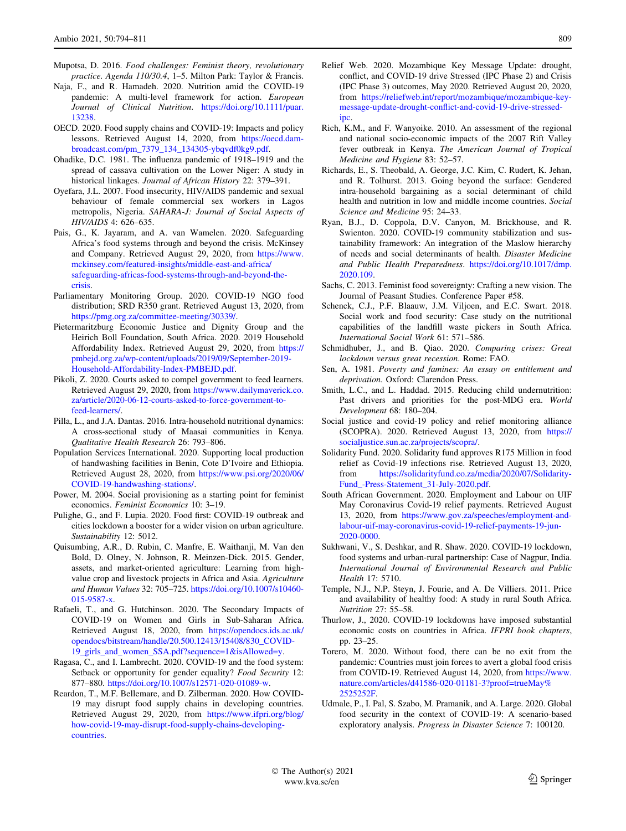- <span id="page-15-0"></span>Mupotsa, D. 2016. Food challenges: Feminist theory, revolutionary practice. Agenda 110/30.4, 1–5. Milton Park: Taylor & Francis.
- Naja, F., and R. Hamadeh. 2020. Nutrition amid the COVID-19 pandemic: A multi-level framework for action. European Journal of Clinical Nutrition. [https://doi.org/10.1111/puar.](https://doi.org/10.1111/puar.13238) [13238](https://doi.org/10.1111/puar.13238).
- OECD. 2020. Food supply chains and COVID-19: Impacts and policy lessons. Retrieved August 14, 2020, from [https://oecd.dam](https://oecd.dam-broadcast.com/pm_7379_134_134305-ybqvdf0kg9.pdf)[broadcast.com/pm\\_7379\\_134\\_134305-ybqvdf0kg9.pdf.](https://oecd.dam-broadcast.com/pm_7379_134_134305-ybqvdf0kg9.pdf)
- Ohadike, D.C. 1981. The influenza pandemic of 1918–1919 and the spread of cassava cultivation on the Lower Niger: A study in historical linkages. Journal of African History 22: 379–391.
- Oyefara, J.L. 2007. Food insecurity, HIV/AIDS pandemic and sexual behaviour of female commercial sex workers in Lagos metropolis, Nigeria. SAHARA-J: Journal of Social Aspects of HIV/AIDS 4: 626–635.
- Pais, G., K. Jayaram, and A. van Wamelen. 2020. Safeguarding Africa's food systems through and beyond the crisis. McKinsey and Company. Retrieved August 29, 2020, from [https://www.](https://www.mckinsey.com/featured-insights/middle-east-and-africa/safeguarding-africas-food-systems-through-and-beyond-the-crisis) [mckinsey.com/featured-insights/middle-east-and-africa/](https://www.mckinsey.com/featured-insights/middle-east-and-africa/safeguarding-africas-food-systems-through-and-beyond-the-crisis) [safeguarding-africas-food-systems-through-and-beyond-the](https://www.mckinsey.com/featured-insights/middle-east-and-africa/safeguarding-africas-food-systems-through-and-beyond-the-crisis)[crisis.](https://www.mckinsey.com/featured-insights/middle-east-and-africa/safeguarding-africas-food-systems-through-and-beyond-the-crisis)
- Parliamentary Monitoring Group. 2020. COVID-19 NGO food distribution; SRD R350 grant. Retrieved August 13, 2020, from <https://pmg.org.za/committee-meeting/30339/>.
- Pietermaritzburg Economic Justice and Dignity Group and the Heirich Boll Foundation, South Africa. 2020. 2019 Household Affordability Index. Retrieved August 29, 2020, from [https://](https://pmbejd.org.za/wp-content/uploads/2019/09/September-2019-Household-Affordability-Index-PMBEJD.pdf) [pmbejd.org.za/wp-content/uploads/2019/09/September-2019-](https://pmbejd.org.za/wp-content/uploads/2019/09/September-2019-Household-Affordability-Index-PMBEJD.pdf) [Household-Affordability-Index-PMBEJD.pdf](https://pmbejd.org.za/wp-content/uploads/2019/09/September-2019-Household-Affordability-Index-PMBEJD.pdf).
- Pikoli, Z. 2020. Courts asked to compel government to feed learners. Retrieved August 29, 2020, from [https://www.dailymaverick.co.](https://www.dailymaverick.co.za/article/2020-06-12-courts-asked-to-force-government-to-feed-learners/) [za/article/2020-06-12-courts-asked-to-force-government-to](https://www.dailymaverick.co.za/article/2020-06-12-courts-asked-to-force-government-to-feed-learners/)[feed-learners/.](https://www.dailymaverick.co.za/article/2020-06-12-courts-asked-to-force-government-to-feed-learners/)
- Pilla, L., and J.A. Dantas. 2016. Intra-household nutritional dynamics: A cross-sectional study of Maasai communities in Kenya. Qualitative Health Research 26: 793–806.
- Population Services International. 2020. Supporting local production of handwashing facilities in Benin, Cote D'Ivoire and Ethiopia. Retrieved August 28, 2020, from [https://www.psi.org/2020/06/](https://www.psi.org/2020/06/COVID-19-handwashing-stations/) [COVID-19-handwashing-stations/.](https://www.psi.org/2020/06/COVID-19-handwashing-stations/)
- Power, M. 2004. Social provisioning as a starting point for feminist economics. Feminist Economics 10: 3–19.
- Pulighe, G., and F. Lupia. 2020. Food first: COVID-19 outbreak and cities lockdown a booster for a wider vision on urban agriculture. Sustainability 12: 5012.
- Quisumbing, A.R., D. Rubin, C. Manfre, E. Waithanji, M. Van den Bold, D. Olney, N. Johnson, R. Meinzen-Dick. 2015. Gender, assets, and market-oriented agriculture: Learning from highvalue crop and livestock projects in Africa and Asia. Agriculture and Human Values 32: 705–725. [https://doi.org/10.1007/s10460-](https://doi.org/10.1007/s10460-015-9587-x) [015-9587-x.](https://doi.org/10.1007/s10460-015-9587-x)
- Rafaeli, T., and G. Hutchinson. 2020. The Secondary Impacts of COVID-19 on Women and Girls in Sub-Saharan Africa. Retrieved August 18, 2020, from [https://opendocs.ids.ac.uk/](https://opendocs.ids.ac.uk/opendocs/bitstream/handle/20.500.12413/15408/830_COVID-19_girls_and_women_SSA.pdf%3fsequence%3d1%26isAllowed%3dy) [opendocs/bitstream/handle/20.500.12413/15408/830\\_COVID-](https://opendocs.ids.ac.uk/opendocs/bitstream/handle/20.500.12413/15408/830_COVID-19_girls_and_women_SSA.pdf%3fsequence%3d1%26isAllowed%3dy)[19\\_girls\\_and\\_women\\_SSA.pdf?sequence=1&isAllowed=y](https://opendocs.ids.ac.uk/opendocs/bitstream/handle/20.500.12413/15408/830_COVID-19_girls_and_women_SSA.pdf%3fsequence%3d1%26isAllowed%3dy).
- Ragasa, C., and I. Lambrecht. 2020. COVID-19 and the food system: Setback or opportunity for gender equality? Food Security 12: 877–880. [https://doi.org/10.1007/s12571-020-01089-w.](https://doi.org/10.1007/s12571-020-01089-w)
- Reardon, T., M.F. Bellemare, and D. Zilberman. 2020. How COVID-19 may disrupt food supply chains in developing countries. Retrieved August 29, 2020, from [https://www.ifpri.org/blog/](https://www.ifpri.org/blog/how-covid-19-may-disrupt-food-supply-chains-developing-countries) [how-covid-19-may-disrupt-food-supply-chains-developing](https://www.ifpri.org/blog/how-covid-19-may-disrupt-food-supply-chains-developing-countries)[countries](https://www.ifpri.org/blog/how-covid-19-may-disrupt-food-supply-chains-developing-countries).
- Relief Web. 2020. Mozambique Key Message Update: drought, conflict, and COVID-19 drive Stressed (IPC Phase 2) and Crisis (IPC Phase 3) outcomes, May 2020. Retrieved August 20, 2020, from [https://reliefweb.int/report/mozambique/mozambique-key](https://reliefweb.int/report/mozambique/mozambique-key-message-update-drought-conflict-and-covid-19-drive-stressed-ipc)[message-update-drought-conflict-and-covid-19-drive-stressed](https://reliefweb.int/report/mozambique/mozambique-key-message-update-drought-conflict-and-covid-19-drive-stressed-ipc)[ipc.](https://reliefweb.int/report/mozambique/mozambique-key-message-update-drought-conflict-and-covid-19-drive-stressed-ipc)
- Rich, K.M., and F. Wanyoike. 2010. An assessment of the regional and national socio-economic impacts of the 2007 Rift Valley fever outbreak in Kenya. The American Journal of Tropical Medicine and Hygiene 83: 52–57.
- Richards, E., S. Theobald, A. George, J.C. Kim, C. Rudert, K. Jehan, and R. Tolhurst. 2013. Going beyond the surface: Gendered intra-household bargaining as a social determinant of child health and nutrition in low and middle income countries. Social Science and Medicine 95: 24–33.
- Ryan, B.J., D. Coppola, D.V. Canyon, M. Brickhouse, and R. Swienton. 2020. COVID-19 community stabilization and sustainability framework: An integration of the Maslow hierarchy of needs and social determinants of health. Disaster Medicine and Public Health Preparedness. [https://doi.org/10.1017/dmp.](https://doi.org/10.1017/dmp.2020.109) [2020.109.](https://doi.org/10.1017/dmp.2020.109)
- Sachs, C. 2013. Feminist food sovereignty: Crafting a new vision. The Journal of Peasant Studies. Conference Paper #58.
- Schenck, C.J., P.F. Blaauw, J.M. Viljoen, and E.C. Swart. 2018. Social work and food security: Case study on the nutritional capabilities of the landfill waste pickers in South Africa. International Social Work 61: 571–586.
- Schmidhuber, J., and B. Qiao. 2020. Comparing crises: Great lockdown versus great recession. Rome: FAO.
- Sen, A. 1981. Poverty and famines: An essay on entitlement and deprivation. Oxford: Clarendon Press.
- Smith, L.C., and L. Haddad. 2015. Reducing child undernutrition: Past drivers and priorities for the post-MDG era. World Development 68: 180–204.
- Social justice and covid-19 policy and relief monitoring alliance (SCOPRA). 2020. Retrieved August 13, 2020, from [https://](https://socialjustice.sun.ac.za/projects/scopra/) [socialjustice.sun.ac.za/projects/scopra/.](https://socialjustice.sun.ac.za/projects/scopra/)
- Solidarity Fund. 2020. Solidarity fund approves R175 Million in food relief as Covid-19 infections rise. Retrieved August 13, 2020, from [https://solidarityfund.co.za/media/2020/07/Solidarity-](https://solidarityfund.co.za/media/2020/07/Solidarity-Fund_-Press-Statement_31-July-2020.pdf)[Fund\\_-Press-Statement\\_31-July-2020.pdf](https://solidarityfund.co.za/media/2020/07/Solidarity-Fund_-Press-Statement_31-July-2020.pdf).
- South African Government. 2020. Employment and Labour on UIF May Coronavirus Covid-19 relief payments. Retrieved August 13, 2020, from [https://www.gov.za/speeches/employment-and](https://www.gov.za/speeches/employment-and-labour-uif-may-coronavirus-covid-19-relief-payments-19-jun-2020-0000)[labour-uif-may-coronavirus-covid-19-relief-payments-19-jun-](https://www.gov.za/speeches/employment-and-labour-uif-may-coronavirus-covid-19-relief-payments-19-jun-2020-0000)[2020-0000.](https://www.gov.za/speeches/employment-and-labour-uif-may-coronavirus-covid-19-relief-payments-19-jun-2020-0000)
- Sukhwani, V., S. Deshkar, and R. Shaw. 2020. COVID-19 lockdown, food systems and urban-rural partnership: Case of Nagpur, India. International Journal of Environmental Research and Public Health 17: 5710.
- Temple, N.J., N.P. Steyn, J. Fourie, and A. De Villiers. 2011. Price and availability of healthy food: A study in rural South Africa. Nutrition 27: 55–58.
- Thurlow, J., 2020. COVID-19 lockdowns have imposed substantial economic costs on countries in Africa. IFPRI book chapters, pp. 23–25.
- Torero, M. 2020. Without food, there can be no exit from the pandemic: Countries must join forces to avert a global food crisis from COVID-19. Retrieved August 14, 2020, from [https://www.](https://www.nature.com/articles/d41586-020-01181-3%3fproof%3dtrueMay%252525252F) [nature.com/articles/d41586-020-01181-3?proof=trueMay%](https://www.nature.com/articles/d41586-020-01181-3%3fproof%3dtrueMay%252525252F) [2525252F](https://www.nature.com/articles/d41586-020-01181-3%3fproof%3dtrueMay%252525252F).
- Udmale, P., I. Pal, S. Szabo, M. Pramanik, and A. Large. 2020. Global food security in the context of COVID-19: A scenario-based exploratory analysis. Progress in Disaster Science 7: 100120.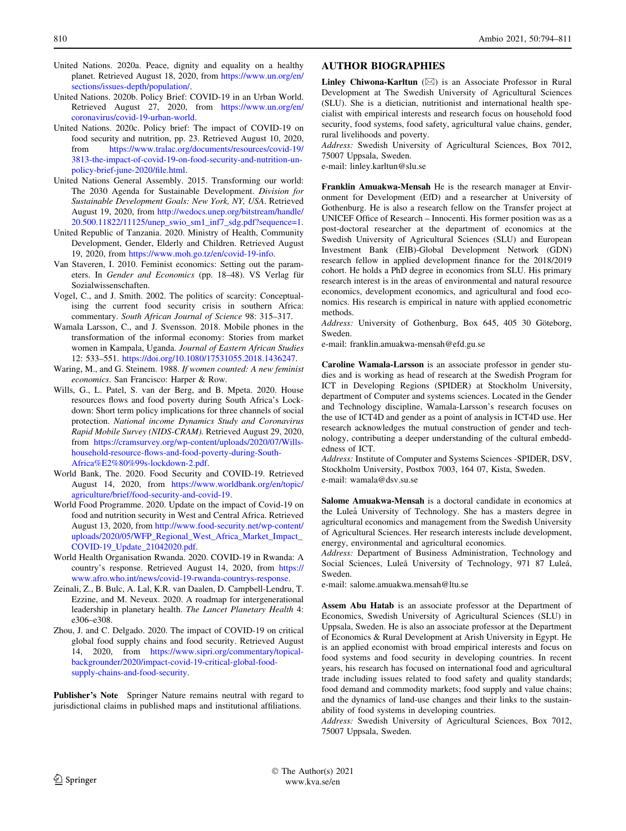- <span id="page-16-0"></span>United Nations. 2020a. Peace, dignity and equality on a healthy planet. Retrieved August 18, 2020, from [https://www.un.org/en/](https://www.un.org/en/sections/issues-depth/population/) [sections/issues-depth/population/.](https://www.un.org/en/sections/issues-depth/population/)
- United Nations. 2020b. Policy Brief: COVID-19 in an Urban World. Retrieved August 27, 2020, from [https://www.un.org/en/](https://www.un.org/en/coronavirus/covid-19-urban-world) [coronavirus/covid-19-urban-world](https://www.un.org/en/coronavirus/covid-19-urban-world).
- United Nations. 2020c. Policy brief: The impact of COVID-19 on food security and nutrition, pp. 23. Retrieved August 10, 2020, from [https://www.tralac.org/documents/resources/covid-19/](https://www.tralac.org/documents/resources/covid-19/3813-the-impact-of-covid-19-on-food-security-and-nutrition-un-policy-brief-june-2020/file.html) [3813-the-impact-of-covid-19-on-food-security-and-nutrition-un](https://www.tralac.org/documents/resources/covid-19/3813-the-impact-of-covid-19-on-food-security-and-nutrition-un-policy-brief-june-2020/file.html)[policy-brief-june-2020/file.html](https://www.tralac.org/documents/resources/covid-19/3813-the-impact-of-covid-19-on-food-security-and-nutrition-un-policy-brief-june-2020/file.html).
- United Nations General Assembly. 2015. Transforming our world: The 2030 Agenda for Sustainable Development. Division for Sustainable Development Goals: New York, NY, USA. Retrieved August 19, 2020, from [http://wedocs.unep.org/bitstream/handle/](http://wedocs.unep.org/bitstream/handle/20.500.11822/11125/unep_swio_sm1_inf7_sdg.pdf%3fsequence%3d1) [20.500.11822/11125/unep\\_swio\\_sm1\\_inf7\\_sdg.pdf?sequence=1.](http://wedocs.unep.org/bitstream/handle/20.500.11822/11125/unep_swio_sm1_inf7_sdg.pdf%3fsequence%3d1)
- United Republic of Tanzania. 2020. Ministry of Health, Community Development, Gender, Elderly and Children. Retrieved August 19, 2020, from <https://www.moh.go.tz/en/covid-19-info>.
- Van Staveren, I. 2010. Feminist economics: Setting out the parameters. In Gender and Economics (pp. 18-48). VS Verlag für Sozialwissenschaften.
- Vogel, C., and J. Smith. 2002. The politics of scarcity: Conceptualising the current food security crisis in southern Africa: commentary. South African Journal of Science 98: 315–317.
- Wamala Larsson, C., and J. Svensson. 2018. Mobile phones in the transformation of the informal economy: Stories from market women in Kampala, Uganda. Journal of Eastern African Studies 12: 533–551. <https://doi.org/10.1080/17531055.2018.1436247>.
- Waring, M., and G. Steinem. 1988. If women counted: A new feminist economics. San Francisco: Harper & Row.
- Wills, G., L. Patel, S. van der Berg, and B. Mpeta. 2020. House resources flows and food poverty during South Africa's Lockdown: Short term policy implications for three channels of social protection. National income Dynamics Study and Coronavirus Rapid Mobile Survey (NIDS-CRAM). Retrieved August 29, 2020, from [https://cramsurvey.org/wp-content/uploads/2020/07/Wills](https://cramsurvey.org/wp-content/uploads/2020/07/Wills-household-resource-flows-and-food-poverty-during-South-Africa%25E2%2580%2599s-lockdown-2.pdf)[household-resource-flows-and-food-poverty-during-South-](https://cramsurvey.org/wp-content/uploads/2020/07/Wills-household-resource-flows-and-food-poverty-during-South-Africa%25E2%2580%2599s-lockdown-2.pdf)[Africa%E2%80%99s-lockdown-2.pdf](https://cramsurvey.org/wp-content/uploads/2020/07/Wills-household-resource-flows-and-food-poverty-during-South-Africa%25E2%2580%2599s-lockdown-2.pdf).
- World Bank, The. 2020. Food Security and COVID-19. Retrieved August 14, 2020, from [https://www.worldbank.org/en/topic/](https://www.worldbank.org/en/topic/agriculture/brief/food-security-and-covid-19) [agriculture/brief/food-security-and-covid-19](https://www.worldbank.org/en/topic/agriculture/brief/food-security-and-covid-19).
- World Food Programme. 2020. Update on the impact of Covid-19 on food and nutrition security in West and Central Africa. Retrieved August 13, 2020, from [http://www.food-security.net/wp-content/](http://www.food-security.net/wp-content/uploads/2020/05/WFP_Regional_West_Africa_Market_Impact_COVID-19_Update_21042020.pdf) [uploads/2020/05/WFP\\_Regional\\_West\\_Africa\\_Market\\_Impact\\_](http://www.food-security.net/wp-content/uploads/2020/05/WFP_Regional_West_Africa_Market_Impact_COVID-19_Update_21042020.pdf) [COVID-19\\_Update\\_21042020.pdf](http://www.food-security.net/wp-content/uploads/2020/05/WFP_Regional_West_Africa_Market_Impact_COVID-19_Update_21042020.pdf).
- World Health Organisation Rwanda. 2020. COVID-19 in Rwanda: A country's response. Retrieved August 14, 2020, from [https://](https://www.afro.who.int/news/covid-19-rwanda-countrys-response) [www.afro.who.int/news/covid-19-rwanda-countrys-response.](https://www.afro.who.int/news/covid-19-rwanda-countrys-response)
- Zeinali, Z., B. Bulc, A. Lal, K.R. van Daalen, D. Campbell-Lendru, T. Ezzine, and M. Neveux. 2020. A roadmap for intergenerational leadership in planetary health. The Lancet Planetary Health 4: e306–e308.
- Zhou, J. and C. Delgado. 2020. The impact of COVID-19 on critical global food supply chains and food security. Retrieved August 14, 2020, from [https://www.sipri.org/commentary/topical](https://www.sipri.org/commentary/topical-backgrounder/2020/impact-covid-19-critical-global-food-supply-chains-and-food-security)[backgrounder/2020/impact-covid-19-critical-global-food](https://www.sipri.org/commentary/topical-backgrounder/2020/impact-covid-19-critical-global-food-supply-chains-and-food-security)[supply-chains-and-food-security](https://www.sipri.org/commentary/topical-backgrounder/2020/impact-covid-19-critical-global-food-supply-chains-and-food-security).

Publisher's Note Springer Nature remains neutral with regard to jurisdictional claims in published maps and institutional affiliations.

# AUTHOR BIOGRAPHIES

**Linley Chiwona-Karltun**  $(\boxtimes)$  is an Associate Professor in Rural Development at The Swedish University of Agricultural Sciences (SLU). She is a dietician, nutritionist and international health specialist with empirical interests and research focus on household food security, food systems, food safety, agricultural value chains, gender, rural livelihoods and poverty.

Address: Swedish University of Agricultural Sciences, Box 7012, 75007 Uppsala, Sweden.

e-mail: linley.karltun@slu.se

Franklin Amuakwa-Mensah He is the research manager at Environment for Development (EfD) and a researcher at University of Gothenburg. He is also a research fellow on the Transfer project at UNICEF Office of Research – Innocenti. His former position was as a post-doctoral researcher at the department of economics at the Swedish University of Agricultural Sciences (SLU) and European Investment Bank (EIB)-Global Development Network (GDN) research fellow in applied development finance for the 2018/2019 cohort. He holds a PhD degree in economics from SLU. His primary research interest is in the areas of environmental and natural resource economics, development economics, and agricultural and food economics. His research is empirical in nature with applied econometric methods.

Address: University of Gothenburg, Box 645, 405 30 Göteborg, Sweden.

e-mail: franklin.amuakwa-mensah@efd.gu.se

Caroline Wamala-Larsson is an associate professor in gender studies and is working as head of research at the Swedish Program for ICT in Developing Regions (SPIDER) at Stockholm University, department of Computer and systems sciences. Located in the Gender and Technology discipline, Wamala-Larsson's research focuses on the use of ICT4D and gender as a point of analysis in ICT4D use. Her research acknowledges the mutual construction of gender and technology, contributing a deeper understanding of the cultural embeddedness of ICT.

Address: Institute of Computer and Systems Sciences -SPIDER, DSV, Stockholm University, Postbox 7003, 164 07, Kista, Sweden. e-mail: wamala@dsv.su.se

Salome Amuakwa-Mensah is a doctoral candidate in economics at the Luleå University of Technology. She has a masters degree in agricultural economics and management from the Swedish University of Agricultural Sciences. Her research interests include development, energy, environmental and agricultural economics.

Address: Department of Business Administration, Technology and Social Sciences, Luleå University of Technology, 971 87 Luleå, Sweden.

e-mail: salome.amuakwa.mensah@ltu.se

Assem Abu Hatab is an associate professor at the Department of Economics, Swedish University of Agricultural Sciences (SLU) in Uppsala, Sweden. He is also an associate professor at the Department of Economics & Rural Development at Arish University in Egypt. He is an applied economist with broad empirical interests and focus on food systems and food security in developing countries. In recent years, his research has focused on international food and agricultural trade including issues related to food safety and quality standards; food demand and commodity markets; food supply and value chains; and the dynamics of land-use changes and their links to the sustainability of food systems in developing countries.

Address: Swedish University of Agricultural Sciences, Box 7012, 75007 Uppsala, Sweden.